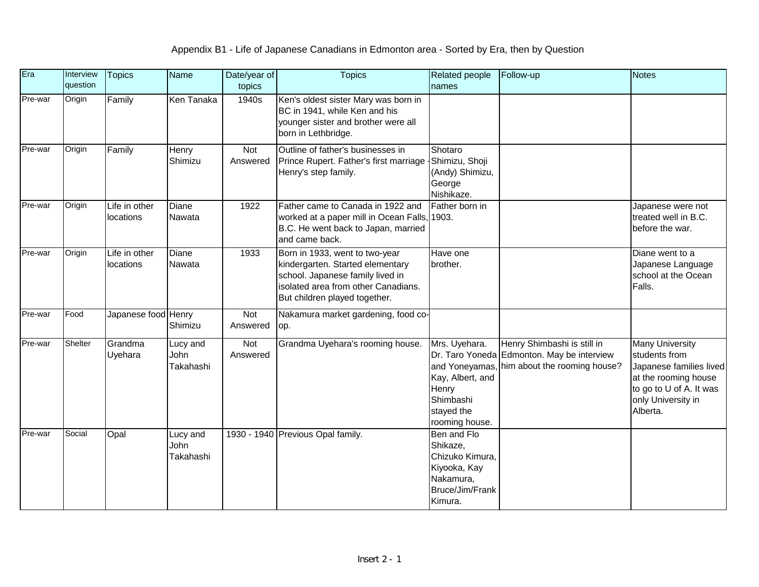| Era     | Interview<br>question | <b>Topics</b>              | Name                          | Date/year of<br>topics | <b>Topics</b>                                                                                                                                                                  | Related people<br>names                                                                               | Follow-up                                                                                                                | <b>Notes</b>                                                                                                                                            |
|---------|-----------------------|----------------------------|-------------------------------|------------------------|--------------------------------------------------------------------------------------------------------------------------------------------------------------------------------|-------------------------------------------------------------------------------------------------------|--------------------------------------------------------------------------------------------------------------------------|---------------------------------------------------------------------------------------------------------------------------------------------------------|
| Pre-war | Origin                | Family                     | Ken Tanaka                    | 1940s                  | Ken's oldest sister Mary was born in<br>BC in 1941, while Ken and his<br>younger sister and brother were all<br>born in Lethbridge.                                            |                                                                                                       |                                                                                                                          |                                                                                                                                                         |
| Pre-war | Origin                | Family                     | Henry<br>Shimizu              | Not<br>Answered        | Outline of father's businesses in<br>Prince Rupert. Father's first marriage Shimizu, Shoji<br>Henry's step family.                                                             | Shotaro<br>(Andy) Shimizu,<br>George<br>Nishikaze.                                                    |                                                                                                                          |                                                                                                                                                         |
| Pre-war | Origin                | Life in other<br>locations | Diane<br>Nawata               | 1922                   | Father came to Canada in 1922 and<br>worked at a paper mill in Ocean Falls,<br>B.C. He went back to Japan, married<br>and came back.                                           | Father born in<br>1903.                                                                               |                                                                                                                          | Japanese were not<br>treated well in B.C.<br>before the war.                                                                                            |
| Pre-war | Origin                | Life in other<br>locations | Diane<br>Nawata               | 1933                   | Born in 1933, went to two-year<br>kindergarten. Started elementary<br>school. Japanese family lived in<br>isolated area from other Canadians.<br>But children played together. | Have one<br>brother.                                                                                  |                                                                                                                          | Diane went to a<br>Japanese Language<br>school at the Ocean<br>Falls.                                                                                   |
| Pre-war | Food                  | Japanese food Henry        | Shimizu                       | Not<br>Answered        | Nakamura market gardening, food co-<br>op.                                                                                                                                     |                                                                                                       |                                                                                                                          |                                                                                                                                                         |
| Pre-war | Shelter               | Grandma<br>Uyehara         | Lucy and<br>John<br>Takahashi | Not<br>Answered        | Grandma Uyehara's rooming house.                                                                                                                                               | Mrs. Uyehara.<br>Kay, Albert, and<br>Henry<br>Shimbashi<br>stayed the<br>rooming house.               | Henry Shimbashi is still in<br>Dr. Taro Yoneda Edmonton. May be interview<br>and Yoneyamas, him about the rooming house? | <b>Many University</b><br>students from<br>Japanese families lived<br>at the rooming house<br>to go to U of A. It was<br>only University in<br>Alberta. |
| Pre-war | Social                | Opal                       | Lucy and<br>John<br>Takahashi |                        | 1930 - 1940 Previous Opal family.                                                                                                                                              | Ben and Flo<br>Shikaze,<br>Chizuko Kimura,<br>Kiyooka, Kay<br>Nakamura,<br>Bruce/Jim/Frank<br>Kimura. |                                                                                                                          |                                                                                                                                                         |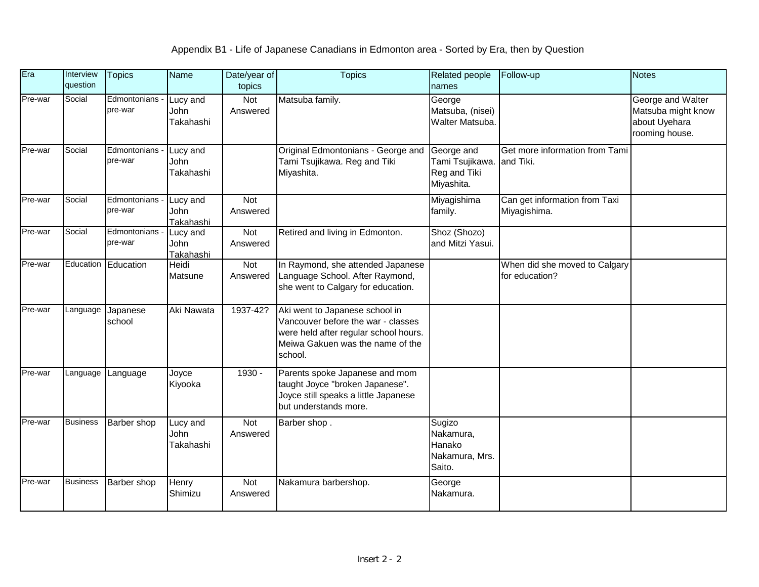| Era     | Interview<br>question | <b>Topics</b>             | <b>Name</b>                   | Date/year of<br>topics | <b>Topics</b>                                                                                                                                                | <b>Related people</b><br>names                              | Follow-up                                       | Notes                                                                      |
|---------|-----------------------|---------------------------|-------------------------------|------------------------|--------------------------------------------------------------------------------------------------------------------------------------------------------------|-------------------------------------------------------------|-------------------------------------------------|----------------------------------------------------------------------------|
| Pre-war | Social                | Edmontonians -<br>pre-war | Lucy and<br>John<br>Takahashi | Not<br>Answered        | Matsuba family.                                                                                                                                              | George<br>Matsuba, (nisei)<br>Walter Matsuba.               |                                                 | George and Walter<br>Matsuba might know<br>about Uyehara<br>rooming house. |
| Pre-war | Social                | Edmontonians<br>pre-war   | Lucy and<br>John<br>Takahashi |                        | Original Edmontonians - George and<br>Tami Tsujikawa. Reg and Tiki<br>Miyashita.                                                                             | George and<br>Tami Tsujikawa.<br>Reg and Tiki<br>Miyashita. | Get more information from Tami<br>and Tiki.     |                                                                            |
| Pre-war | Social                | Edmontonians<br>pre-war   | Lucy and<br>John<br>Takahashi | Not<br>Answered        |                                                                                                                                                              | Miyagishima<br>family.                                      | Can get information from Taxi<br>Miyagishima.   |                                                                            |
| Pre-war | Social                | Edmontonians<br>pre-war   | Lucy and<br>John<br>Takahashi | <b>Not</b><br>Answered | Retired and living in Edmonton.                                                                                                                              | Shoz (Shozo)<br>and Mitzi Yasui.                            |                                                 |                                                                            |
| Pre-war | Education             | Education                 | Heidi<br>Matsune              | Not<br>Answered        | In Raymond, she attended Japanese<br>Language School. After Raymond,<br>she went to Calgary for education.                                                   |                                                             | When did she moved to Calgary<br>for education? |                                                                            |
| Pre-war | Language              | Japanese<br>school        | Aki Nawata                    | 1937-42?               | Aki went to Japanese school in<br>Vancouver before the war - classes<br>were held after regular school hours.<br>Meiwa Gakuen was the name of the<br>school. |                                                             |                                                 |                                                                            |
| Pre-war | Language              | Language                  | Joyce<br>Kiyooka              | 1930 -                 | Parents spoke Japanese and mom<br>taught Joyce "broken Japanese".<br>Joyce still speaks a little Japanese<br>but understands more.                           |                                                             |                                                 |                                                                            |
| Pre-war | <b>Business</b>       | Barber shop               | Lucy and<br>John<br>Takahashi | Not<br>Answered        | Barber shop.                                                                                                                                                 | Sugizo<br>Nakamura,<br>Hanako<br>Nakamura, Mrs.<br>Saito.   |                                                 |                                                                            |
| Pre-war | <b>Business</b>       | Barber shop               | Henry<br>Shimizu              | Not<br>Answered        | Nakamura barbershop.                                                                                                                                         | George<br>Nakamura.                                         |                                                 |                                                                            |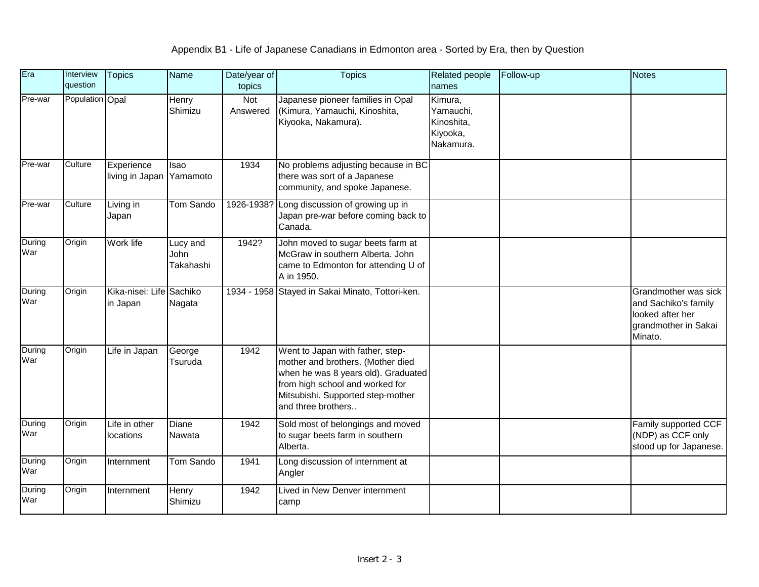| Era           | Interview<br>question | <b>Topics</b>                        | Name                          | Date/year of<br>topics | <b>Topics</b>                                                                                                                                                                                              | Related people<br>names                                     | Follow-up | <b>Notes</b>                                                                                        |
|---------------|-----------------------|--------------------------------------|-------------------------------|------------------------|------------------------------------------------------------------------------------------------------------------------------------------------------------------------------------------------------------|-------------------------------------------------------------|-----------|-----------------------------------------------------------------------------------------------------|
| Pre-war       | Population Opal       |                                      | Henry<br>Shimizu              | Not<br>Answered        | Japanese pioneer families in Opal<br>(Kimura, Yamauchi, Kinoshita,<br>Kiyooka, Nakamura).                                                                                                                  | Kimura,<br>Yamauchi,<br>Kinoshita,<br>Kiyooka,<br>Nakamura. |           |                                                                                                     |
| Pre-war       | Culture               | Experience<br>living in Japan        | Isao<br>Yamamoto              | 1934                   | No problems adjusting because in BC<br>there was sort of a Japanese<br>community, and spoke Japanese.                                                                                                      |                                                             |           |                                                                                                     |
| Pre-war       | Culture               | Living in<br>Japan                   | <b>Tom Sando</b>              |                        | 1926-1938? Long discussion of growing up in<br>Japan pre-war before coming back to<br>Canada.                                                                                                              |                                                             |           |                                                                                                     |
| During<br>War | Origin                | Work life                            | Lucy and<br>John<br>Takahashi | 1942?                  | John moved to sugar beets farm at<br>McGraw in southern Alberta. John<br>came to Edmonton for attending U of<br>A in 1950.                                                                                 |                                                             |           |                                                                                                     |
| During<br>War | Origin                | Kika-nisei: Life Sachiko<br>in Japan | Nagata                        |                        | 1934 - 1958 Stayed in Sakai Minato, Tottori-ken.                                                                                                                                                           |                                                             |           | Grandmother was sick<br>and Sachiko's family<br>looked after her<br>grandmother in Sakai<br>Minato. |
| During<br>War | Origin                | Life in Japan                        | George<br>Tsuruda             | 1942                   | Went to Japan with father, step-<br>mother and brothers. (Mother died<br>when he was 8 years old). Graduated<br>from high school and worked for<br>Mitsubishi. Supported step-mother<br>and three brothers |                                                             |           |                                                                                                     |
| During<br>War | Origin                | Life in other<br>locations           | Diane<br>Nawata               | 1942                   | Sold most of belongings and moved<br>to sugar beets farm in southern<br>Alberta.                                                                                                                           |                                                             |           | Family supported CCF<br>(NDP) as CCF only<br>stood up for Japanese.                                 |
| During<br>War | Origin                | Internment                           | <b>Tom Sando</b>              | 1941                   | Long discussion of internment at<br>Angler                                                                                                                                                                 |                                                             |           |                                                                                                     |
| During<br>War | Origin                | Internment                           | Henry<br>Shimizu              | 1942                   | Lived in New Denver internment<br>camp                                                                                                                                                                     |                                                             |           |                                                                                                     |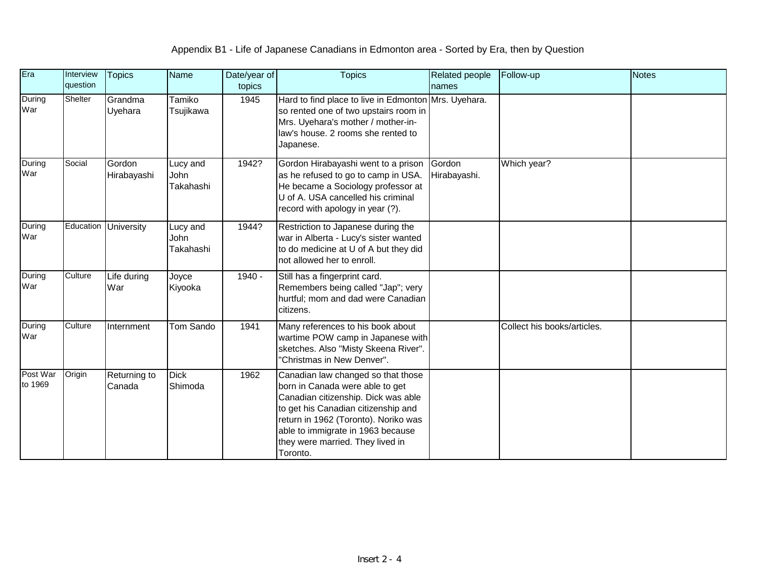| Era                 | Interview<br>question       | <b>Topics</b>          | <b>Name</b>                          | Date/year of<br>topics | <b>Topics</b>                                                                                                                                                                                                                                                                    | <b>Related people</b><br>names | Follow-up                   | <b>Notes</b> |
|---------------------|-----------------------------|------------------------|--------------------------------------|------------------------|----------------------------------------------------------------------------------------------------------------------------------------------------------------------------------------------------------------------------------------------------------------------------------|--------------------------------|-----------------------------|--------------|
| During<br>War       | Shelter                     | Grandma<br>Uyehara     | Tamiko<br>Tsujikawa                  | 1945                   | Hard to find place to live in Edmonton Mrs. Uyehara.<br>so rented one of two upstairs room in<br>Mrs. Uyehara's mother / mother-in-<br>law's house. 2 rooms she rented to<br>Japanese.                                                                                           |                                |                             |              |
| During<br>War       | Social                      | Gordon<br>Hirabayashi  | Lucy and<br>John<br>Takahashi        | 1942?                  | Gordon Hirabayashi went to a prison<br>as he refused to go to camp in USA.<br>He became a Sociology professor at<br>U of A. USA cancelled his criminal<br>record with apology in year (?).                                                                                       | Gordon<br>Hirabayashi.         | Which year?                 |              |
| During<br>War       | Education                   | <b>University</b>      | Lucy and<br><b>John</b><br>Takahashi | 1944?                  | Restriction to Japanese during the<br>war in Alberta - Lucy's sister wanted<br>to do medicine at U of A but they did<br>not allowed her to enroll.                                                                                                                               |                                |                             |              |
| During<br>War       | Culture                     | Life during<br>War     | Joyce<br>Kiyooka                     | 1940 -                 | Still has a fingerprint card.<br>Remembers being called "Jap"; very<br>hurtful; mom and dad were Canadian<br>citizens.                                                                                                                                                           |                                |                             |              |
| During<br>War       | $\overline{\text{Culture}}$ | Internment             | Tom Sando                            | 1941                   | Many references to his book about<br>wartime POW camp in Japanese with<br>sketches. Also "Misty Skeena River".<br>"Christmas in New Denver".                                                                                                                                     |                                | Collect his books/articles. |              |
| Post War<br>to 1969 | Origin                      | Returning to<br>Canada | <b>Dick</b><br>Shimoda               | 1962                   | Canadian law changed so that those<br>born in Canada were able to get<br>Canadian citizenship. Dick was able<br>to get his Canadian citizenship and<br>return in 1962 (Toronto). Noriko was<br>able to immigrate in 1963 because<br>they were married. They lived in<br>Toronto. |                                |                             |              |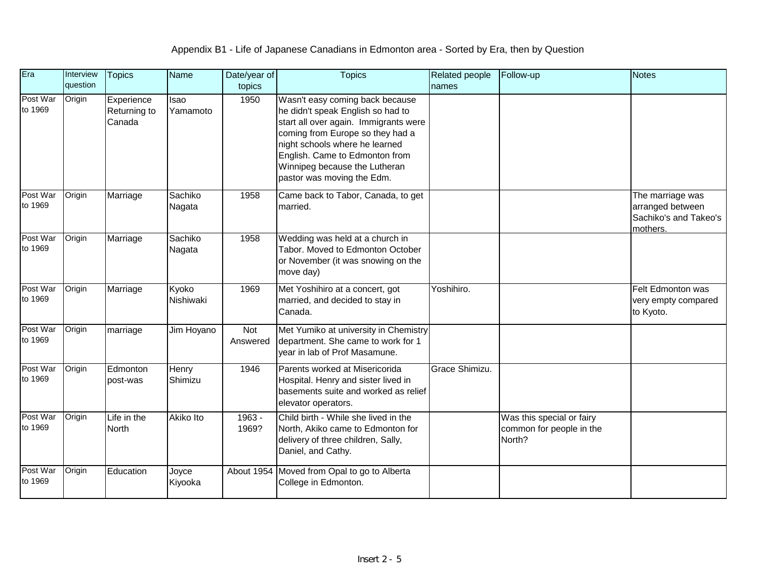| Era                 | Interview<br>question | <b>Topics</b>                        | <b>Name</b>        | Date/year of<br>topics | <b>Topics</b>                                                                                                                                                                                                                                                                        | Related people<br>names | Follow-up                                                       | <b>Notes</b>                                                              |
|---------------------|-----------------------|--------------------------------------|--------------------|------------------------|--------------------------------------------------------------------------------------------------------------------------------------------------------------------------------------------------------------------------------------------------------------------------------------|-------------------------|-----------------------------------------------------------------|---------------------------------------------------------------------------|
| Post War<br>to 1969 | Origin                | Experience<br>Returning to<br>Canada | Isao<br>Yamamoto   | 1950                   | Wasn't easy coming back because<br>he didn't speak English so had to<br>start all over again. Immigrants were<br>coming from Europe so they had a<br>night schools where he learned<br>English. Came to Edmonton from<br>Winnipeg because the Lutheran<br>pastor was moving the Edm. |                         |                                                                 |                                                                           |
| Post War<br>to 1969 | Origin                | Marriage                             | Sachiko<br>Nagata  | 1958                   | Came back to Tabor, Canada, to get<br>married.                                                                                                                                                                                                                                       |                         |                                                                 | The marriage was<br>arranged between<br>Sachiko's and Takeo's<br>mothers. |
| Post War<br>to 1969 | Origin                | Marriage                             | Sachiko<br>Nagata  | 1958                   | Wedding was held at a church in<br>Tabor. Moved to Edmonton October<br>or November (it was snowing on the<br>move day)                                                                                                                                                               |                         |                                                                 |                                                                           |
| Post War<br>to 1969 | Origin                | Marriage                             | Kyoko<br>Nishiwaki | 1969                   | Met Yoshihiro at a concert, got<br>married, and decided to stay in<br>Canada.                                                                                                                                                                                                        | Yoshihiro.              |                                                                 | Felt Edmonton was<br>very empty compared<br>to Kyoto.                     |
| Post War<br>to 1969 | Origin                | marriage                             | Jim Hoyano         | Not<br>Answered        | Met Yumiko at university in Chemistry<br>department. She came to work for 1<br>year in lab of Prof Masamune.                                                                                                                                                                         |                         |                                                                 |                                                                           |
| Post War<br>to 1969 | Origin                | Edmonton<br>post-was                 | Henry<br>Shimizu   | 1946                   | Parents worked at Misericorida<br>Hospital. Henry and sister lived in<br>basements suite and worked as relief<br>elevator operators.                                                                                                                                                 | Grace Shimizu.          |                                                                 |                                                                           |
| Post War<br>to 1969 | Origin                | Life in the<br><b>North</b>          | <b>Akiko Ito</b>   | $1963 -$<br>1969?      | Child birth - While she lived in the<br>North, Akiko came to Edmonton for<br>delivery of three children, Sally,<br>Daniel, and Cathy.                                                                                                                                                |                         | Was this special or fairy<br>common for people in the<br>North? |                                                                           |
| Post War<br>to 1969 | Origin                | Education                            | Joyce<br>Kiyooka   | About 1954             | Moved from Opal to go to Alberta<br>College in Edmonton.                                                                                                                                                                                                                             |                         |                                                                 |                                                                           |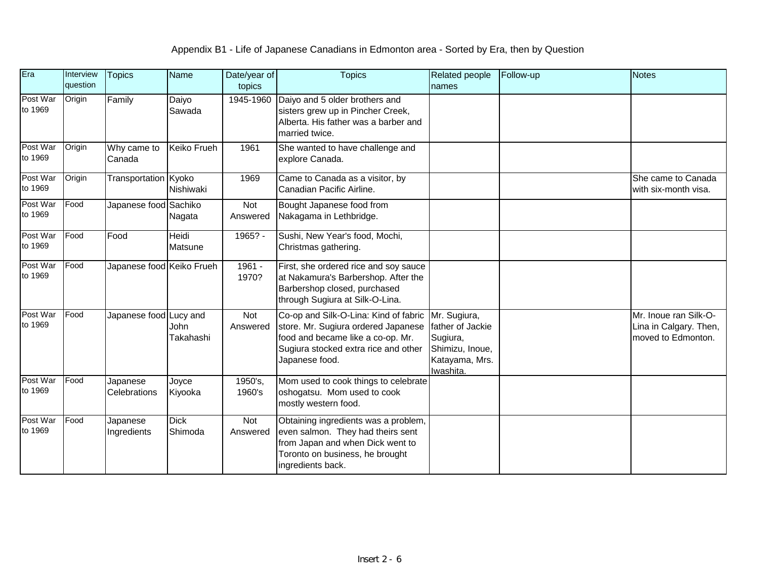| Era                 | Interview<br>question | <b>Topics</b>             | Name                    | Date/year of<br>topics | <b>Topics</b>                                                                                                                                                               | Related people<br>names                                                                        | Follow-up | <b>Notes</b>                                                          |
|---------------------|-----------------------|---------------------------|-------------------------|------------------------|-----------------------------------------------------------------------------------------------------------------------------------------------------------------------------|------------------------------------------------------------------------------------------------|-----------|-----------------------------------------------------------------------|
| Post War<br>to 1969 | Origin                | Family                    | Daiyo<br>Sawada         | 1945-1960              | Daiyo and 5 older brothers and<br>sisters grew up in Pincher Creek,<br>Alberta. His father was a barber and<br>married twice.                                               |                                                                                                |           |                                                                       |
| Post War<br>to 1969 | Origin                | Why came to<br>Canada     | <b>Keiko Frueh</b>      | 1961                   | She wanted to have challenge and<br>explore Canada.                                                                                                                         |                                                                                                |           |                                                                       |
| Post War<br>to 1969 | Origin                | Transportation Kyoko      | Nishiwaki               | 1969                   | Came to Canada as a visitor, by<br>Canadian Pacific Airline.                                                                                                                |                                                                                                |           | She came to Canada<br>with six-month visa.                            |
| Post War<br>to 1969 | Food                  | Japanese food Sachiko     | Nagata                  | Not<br>Answered        | Bought Japanese food from<br>Nakagama in Lethbridge.                                                                                                                        |                                                                                                |           |                                                                       |
| Post War<br>to 1969 | Food                  | Food                      | <b>Heidi</b><br>Matsune | $1965? -$              | Sushi, New Year's food, Mochi,<br>Christmas gathering.                                                                                                                      |                                                                                                |           |                                                                       |
| Post War<br>to 1969 | Food                  | Japanese food Keiko Frueh |                         | 1961 -<br>1970?        | First, she ordered rice and soy sauce<br>at Nakamura's Barbershop. After the<br>Barbershop closed, purchased<br>through Sugiura at Silk-O-Lina.                             |                                                                                                |           |                                                                       |
| Post War<br>to 1969 | Food                  | Japanese food Lucy and    | John<br>Takahashi       | Not<br>Answered        | Co-op and Silk-O-Lina: Kind of fabric<br>store. Mr. Sugiura ordered Japanese<br>food and became like a co-op. Mr.<br>Sugiura stocked extra rice and other<br>Japanese food. | Mr. Sugiura,<br>father of Jackie<br>Sugiura,<br>Shimizu, Inoue,<br>Katayama, Mrs.<br>Iwashita. |           | Mr. Inoue ran Silk-O-<br>Lina in Calgary. Then,<br>moved to Edmonton. |
| Post War<br>to 1969 | Food                  | Japanese<br>Celebrations  | Joyce<br>Kiyooka        | 1950's,<br>1960's      | Mom used to cook things to celebrate<br>oshogatsu. Mom used to cook<br>mostly western food.                                                                                 |                                                                                                |           |                                                                       |
| Post War<br>to 1969 | Food                  | Japanese<br>Ingredients   | <b>Dick</b><br>Shimoda  | Not<br>Answered        | Obtaining ingredients was a problem,<br>even salmon. They had theirs sent<br>from Japan and when Dick went to<br>Toronto on business, he brought<br>ingredients back.       |                                                                                                |           |                                                                       |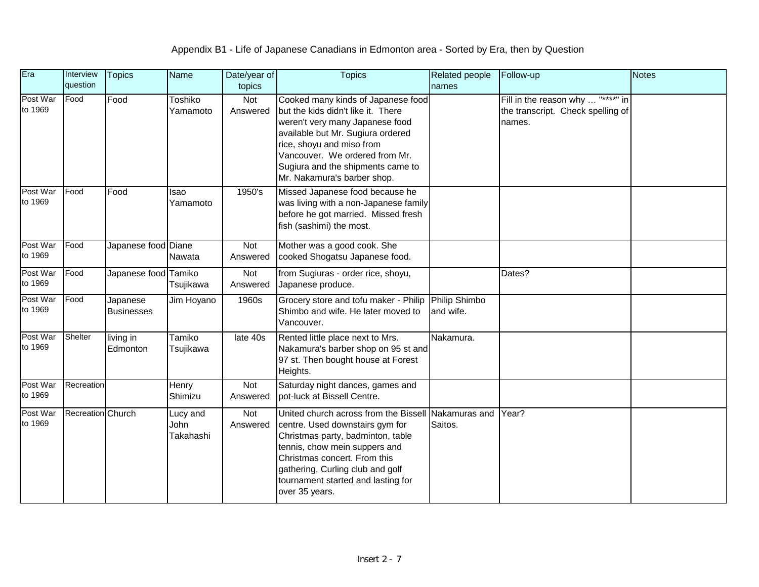| Era                 | Interview<br>question | <b>Topics</b>                 | <b>Name</b>                   | Date/year of<br>topics | <b>Topics</b>                                                                                                                                                                                                                                                                       | Related people<br>names  | Follow-up                                                                        | <b>Notes</b> |
|---------------------|-----------------------|-------------------------------|-------------------------------|------------------------|-------------------------------------------------------------------------------------------------------------------------------------------------------------------------------------------------------------------------------------------------------------------------------------|--------------------------|----------------------------------------------------------------------------------|--------------|
| Post War<br>to 1969 | Food                  | Food                          | Toshiko<br>Yamamoto           | Not<br>Answered        | Cooked many kinds of Japanese food<br>but the kids didn't like it. There<br>weren't very many Japanese food<br>available but Mr. Sugiura ordered<br>rice, shoyu and miso from<br>Vancouver. We ordered from Mr.<br>Sugiura and the shipments came to<br>Mr. Nakamura's barber shop. |                          | Fill in the reason why  "****" in<br>the transcript. Check spelling of<br>names. |              |
| Post War<br>to 1969 | Food                  | Food                          | Isao<br>Yamamoto              | 1950's                 | Missed Japanese food because he<br>was living with a non-Japanese family<br>before he got married. Missed fresh<br>fish (sashimi) the most.                                                                                                                                         |                          |                                                                                  |              |
| Post War<br>to 1969 | Food                  | Japanese food Diane           | Nawata                        | Not<br>Answered        | Mother was a good cook. She<br>cooked Shogatsu Japanese food.                                                                                                                                                                                                                       |                          |                                                                                  |              |
| Post War<br>to 1969 | Food                  | Japanese food Tamiko          | Tsujikawa                     | Not<br>Answered        | from Sugiuras - order rice, shoyu,<br>Japanese produce.                                                                                                                                                                                                                             |                          | Dates?                                                                           |              |
| Post War<br>to 1969 | Food                  | Japanese<br><b>Businesses</b> | Jim Hoyano                    | 1960s                  | Grocery store and tofu maker - Philip Philip Shimbo<br>Shimbo and wife. He later moved to<br>Vancouver.                                                                                                                                                                             | and wife.                |                                                                                  |              |
| Post War<br>to 1969 | Shelter               | living in<br>Edmonton         | Tamiko<br>Tsujikawa           | late 40s               | Rented little place next to Mrs.<br>Nakamura's barber shop on 95 st and<br>97 st. Then bought house at Forest<br>Heights.                                                                                                                                                           | Nakamura.                |                                                                                  |              |
| Post War<br>to 1969 | Recreation            |                               | Henry<br>Shimizu              | Not<br>Answered        | Saturday night dances, games and<br>pot-luck at Bissell Centre.                                                                                                                                                                                                                     |                          |                                                                                  |              |
| Post War<br>to 1969 | Recreation Church     |                               | Lucy and<br>John<br>Takahashi | Not<br>Answered        | United church across from the Bissell<br>centre. Used downstairs gym for<br>Christmas party, badminton, table<br>tennis, chow mein suppers and<br>Christmas concert. From this<br>gathering, Curling club and golf<br>tournament started and lasting for<br>over 35 years.          | Nakamuras and<br>Saitos. | Year?                                                                            |              |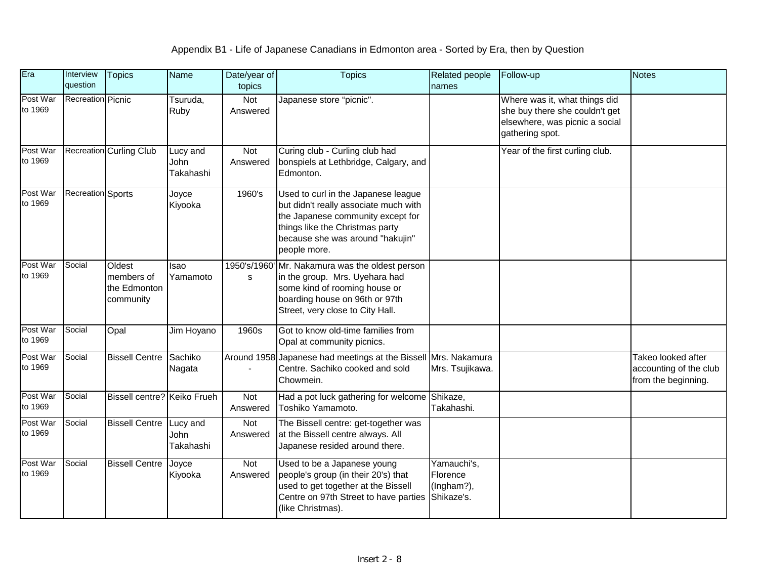| Era                 | Interview<br>question    | <b>Topics</b>                                     | <b>Name</b>                   | Date/year of<br>topics | <b>Topics</b>                                                                                                                                                                                            | Related people<br>names                             | Follow-up                                                                                                            | <b>Notes</b>                                                        |
|---------------------|--------------------------|---------------------------------------------------|-------------------------------|------------------------|----------------------------------------------------------------------------------------------------------------------------------------------------------------------------------------------------------|-----------------------------------------------------|----------------------------------------------------------------------------------------------------------------------|---------------------------------------------------------------------|
| Post War<br>to 1969 | <b>Recreation Picnic</b> |                                                   | Tsuruda,<br>Ruby              | Not<br>Answered        | Japanese store "picnic".                                                                                                                                                                                 |                                                     | Where was it, what things did<br>she buy there she couldn't get<br>elsewhere, was picnic a social<br>gathering spot. |                                                                     |
| Post War<br>to 1969 |                          | <b>Recreation Curling Club</b>                    | Lucy and<br>John<br>Takahashi | Not<br>Answered        | Curing club - Curling club had<br>bonspiels at Lethbridge, Calgary, and<br>Edmonton.                                                                                                                     |                                                     | Year of the first curling club.                                                                                      |                                                                     |
| Post War<br>to 1969 | <b>Recreation</b> Sports |                                                   | Joyce<br>Kiyooka              | 1960's                 | Used to curl in the Japanese league<br>but didn't really associate much with<br>the Japanese community except for<br>things like the Christmas party<br>because she was around "hakujin"<br>people more. |                                                     |                                                                                                                      |                                                                     |
| Post War<br>to 1969 | Social                   | Oldest<br>members of<br>the Edmonton<br>community | lsao<br>Yamamoto              | s                      | 1950's/1960' Mr. Nakamura was the oldest person<br>in the group. Mrs. Uyehara had<br>some kind of rooming house or<br>boarding house on 96th or 97th<br>Street, very close to City Hall.                 |                                                     |                                                                                                                      |                                                                     |
| Post War<br>to 1969 | Social                   | Opal                                              | Jim Hoyano                    | 1960s                  | Got to know old-time families from<br>Opal at community picnics.                                                                                                                                         |                                                     |                                                                                                                      |                                                                     |
| Post War<br>to 1969 | Social                   | <b>Bissell Centre</b>                             | Sachiko<br>Nagata             |                        | Around 1958 Japanese had meetings at the Bissell Mrs. Nakamura<br>Centre. Sachiko cooked and sold<br>Chowmein.                                                                                           | Mrs. Tsujikawa.                                     |                                                                                                                      | Takeo looked after<br>accounting of the club<br>from the beginning. |
| Post War<br>to 1969 | Social                   | Bissell centre? Keiko Frueh                       |                               | Not<br>Answered        | Had a pot luck gathering for welcome<br>Toshiko Yamamoto.                                                                                                                                                | Shikaze,<br>Takahashi.                              |                                                                                                                      |                                                                     |
| Post War<br>to 1969 | Social                   | <b>Bissell Centre</b>                             | Lucy and<br>John<br>Takahashi | Not<br>Answered        | The Bissell centre: get-together was<br>at the Bissell centre always. All<br>Japanese resided around there.                                                                                              |                                                     |                                                                                                                      |                                                                     |
| Post War<br>to 1969 | Social                   | <b>Bissell Centre</b>                             | Joyce<br>Kiyooka              | Not<br>Answered        | Used to be a Japanese young<br>people's group (in their 20's) that<br>used to get together at the Bissell<br>Centre on 97th Street to have parties<br>(like Christmas).                                  | Yamauchi's,<br>Florence<br>(Ingham?),<br>Shikaze's. |                                                                                                                      |                                                                     |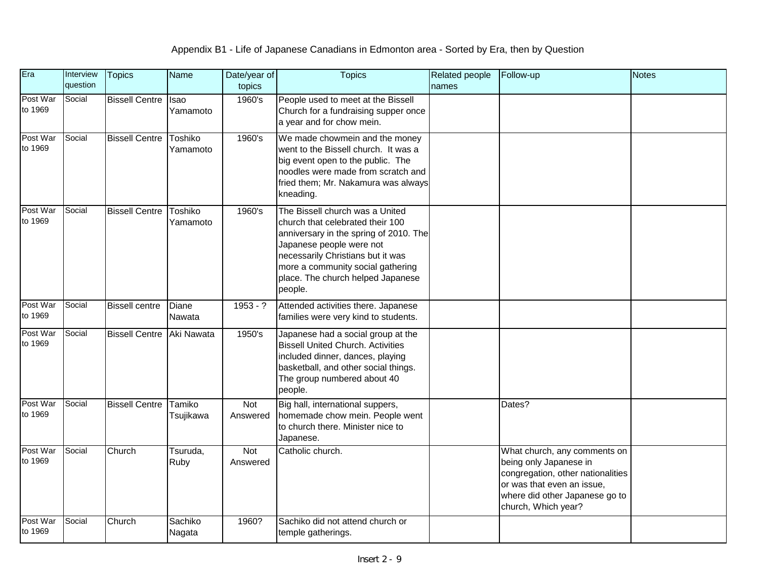| Era                 | Interview<br>question | <b>Topics</b>         | Name                    | Date/year of<br>topics | <b>Topics</b>                                                                                                                                                                                                                                                       | Related people<br>names | Follow-up                                                                                                                                                                          | <b>Notes</b> |
|---------------------|-----------------------|-----------------------|-------------------------|------------------------|---------------------------------------------------------------------------------------------------------------------------------------------------------------------------------------------------------------------------------------------------------------------|-------------------------|------------------------------------------------------------------------------------------------------------------------------------------------------------------------------------|--------------|
| Post War<br>to 1969 | Social                | <b>Bissell Centre</b> | <b>Isao</b><br>Yamamoto | 1960's                 | People used to meet at the Bissell<br>Church for a fundraising supper once<br>a year and for chow mein.                                                                                                                                                             |                         |                                                                                                                                                                                    |              |
| Post War<br>to 1969 | Social                | <b>Bissell Centre</b> | Toshiko<br>Yamamoto     | 1960's                 | We made chowmein and the money<br>went to the Bissell church. It was a<br>big event open to the public. The<br>noodles were made from scratch and<br>fried them; Mr. Nakamura was always<br>kneading.                                                               |                         |                                                                                                                                                                                    |              |
| Post War<br>to 1969 | Social                | <b>Bissell Centre</b> | Toshiko<br>Yamamoto     | 1960's                 | The Bissell church was a United<br>church that celebrated their 100<br>anniversary in the spring of 2010. The<br>Japanese people were not<br>necessarily Christians but it was<br>more a community social gathering<br>place. The church helped Japanese<br>people. |                         |                                                                                                                                                                                    |              |
| Post War<br>to 1969 | Social                | <b>Bissell</b> centre | Diane<br>Nawata         | $1953 - ?$             | Attended activities there. Japanese<br>families were very kind to students.                                                                                                                                                                                         |                         |                                                                                                                                                                                    |              |
| Post War<br>to 1969 | Social                | <b>Bissell Centre</b> | Aki Nawata              | 1950's                 | Japanese had a social group at the<br><b>Bissell United Church. Activities</b><br>included dinner, dances, playing<br>basketball, and other social things.<br>The group numbered about 40<br>people.                                                                |                         |                                                                                                                                                                                    |              |
| Post War<br>to 1969 | Social                | <b>Bissell Centre</b> | Tamiko<br>Tsujikawa     | Not<br>Answered        | Big hall, international suppers,<br>homemade chow mein. People went<br>to church there. Minister nice to<br>Japanese.                                                                                                                                               |                         | Dates?                                                                                                                                                                             |              |
| Post War<br>to 1969 | Social                | Church                | Tsuruda,<br>Ruby        | Not<br>Answered        | Catholic church.                                                                                                                                                                                                                                                    |                         | What church, any comments on<br>being only Japanese in<br>congregation, other nationalities<br>or was that even an issue,<br>where did other Japanese go to<br>church, Which year? |              |
| Post War<br>to 1969 | Social                | Church                | Sachiko<br>Nagata       | 1960?                  | Sachiko did not attend church or<br>temple gatherings.                                                                                                                                                                                                              |                         |                                                                                                                                                                                    |              |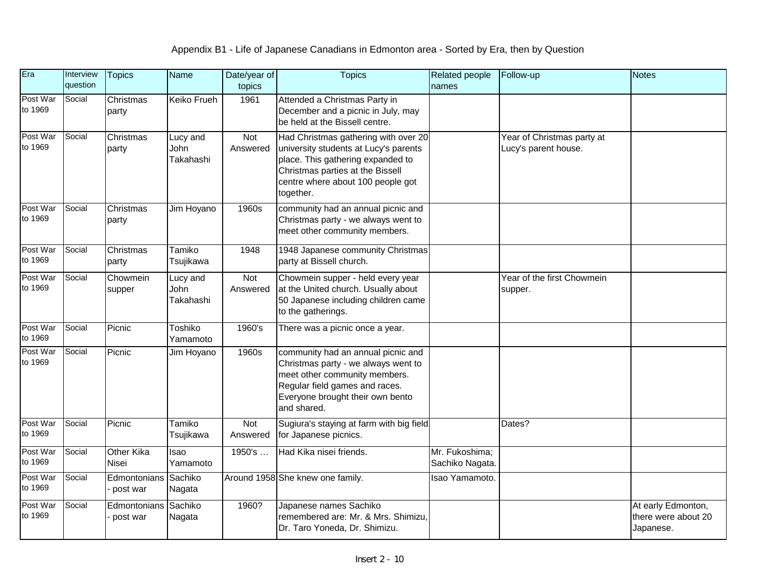| Era                 | Interview<br>question | <b>Topics</b>            | <b>Name</b>                   | Date/year of<br>topics | <b>Topics</b>                                                                                                                                                                                            | Related people<br>names           | Follow-up                                          | <b>Notes</b>                                           |
|---------------------|-----------------------|--------------------------|-------------------------------|------------------------|----------------------------------------------------------------------------------------------------------------------------------------------------------------------------------------------------------|-----------------------------------|----------------------------------------------------|--------------------------------------------------------|
| Post War<br>to 1969 | Social                | Christmas<br>party       | <b>Keiko Frueh</b>            | 1961                   | Attended a Christmas Party in<br>December and a picnic in July, may<br>be held at the Bissell centre.                                                                                                    |                                   |                                                    |                                                        |
| Post War<br>to 1969 | Social                | Christmas<br>party       | Lucy and<br>John<br>Takahashi | Not<br>Answered        | Had Christmas gathering with over 20<br>university students at Lucy's parents<br>place. This gathering expanded to<br>Christmas parties at the Bissell<br>centre where about 100 people got<br>together. |                                   | Year of Christmas party at<br>Lucy's parent house. |                                                        |
| Post War<br>to 1969 | Social                | Christmas<br>party       | Jim Hoyano                    | 1960s                  | community had an annual picnic and<br>Christmas party - we always went to<br>meet other community members.                                                                                               |                                   |                                                    |                                                        |
| Post War<br>to 1969 | Social                | Christmas<br>party       | Tamiko<br>Tsujikawa           | 1948                   | 1948 Japanese community Christmas<br>party at Bissell church.                                                                                                                                            |                                   |                                                    |                                                        |
| Post War<br>to 1969 | Social                | Chowmein<br>supper       | Lucy and<br>John<br>Takahashi | Not<br>Answered        | Chowmein supper - held every year<br>at the United church. Usually about<br>50 Japanese including children came<br>to the gatherings.                                                                    |                                   | Year of the first Chowmein<br>supper.              |                                                        |
| Post War<br>to 1969 | Social                | Picnic                   | Toshiko<br>Yamamoto           | 1960's                 | There was a picnic once a year.                                                                                                                                                                          |                                   |                                                    |                                                        |
| Post War<br>to 1969 | Social                | Picnic                   | Jim Hoyano                    | 1960s                  | community had an annual picnic and<br>Christmas party - we always went to<br>meet other community members.<br>Regular field games and races.<br>Everyone brought their own bento<br>and shared.          |                                   |                                                    |                                                        |
| Post War<br>to 1969 | Social                | Picnic                   | Tamiko<br>Tsujikawa           | Not<br>Answered        | Sugiura's staying at farm with big field<br>for Japanese picnics.                                                                                                                                        |                                   | Dates?                                             |                                                        |
| Post War<br>to 1969 | Social                | Other Kika<br>Nisei      | Isao<br>Yamamoto              | 1950's                 | Had Kika nisei friends.                                                                                                                                                                                  | Mr. Fukoshima;<br>Sachiko Nagata. |                                                    |                                                        |
| Post War<br>to 1969 | Social                | Edmontonians<br>post war | Sachiko<br>Nagata             |                        | Around 1958 She knew one family.                                                                                                                                                                         | Isao Yamamoto.                    |                                                    |                                                        |
| Post War<br>to 1969 | Social                | Edmontonians<br>post war | Sachiko<br>Nagata             | 1960?                  | Japanese names Sachiko<br>remembered are: Mr. & Mrs. Shimizu,<br>Dr. Taro Yoneda, Dr. Shimizu.                                                                                                           |                                   |                                                    | At early Edmonton,<br>there were about 20<br>Japanese. |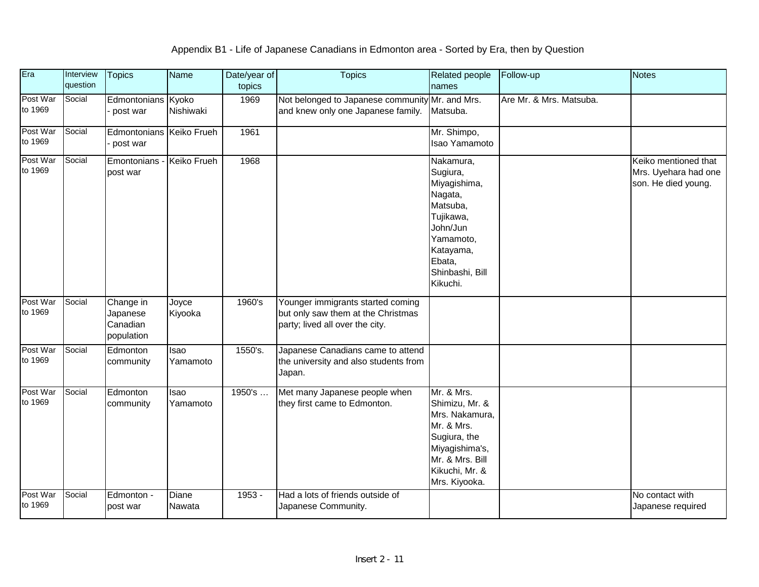| Era                 | Interview<br>question | <b>Topics</b>                                   | Name             | Date/year of<br>topics | <b>Topics</b>                                                                                              | Related people<br>names                                                                                                                                  | Follow-up               | <b>Notes</b>                                                        |
|---------------------|-----------------------|-------------------------------------------------|------------------|------------------------|------------------------------------------------------------------------------------------------------------|----------------------------------------------------------------------------------------------------------------------------------------------------------|-------------------------|---------------------------------------------------------------------|
| Post War<br>to 1969 | Social                | Edmontonians Kyoko<br>post war                  | Nishiwaki        | 1969                   | Not belonged to Japanese community Mr. and Mrs.<br>and knew only one Japanese family.                      | Matsuba.                                                                                                                                                 | Are Mr. & Mrs. Matsuba. |                                                                     |
| Post War<br>to 1969 | Social                | Edmontonians Keiko Frueh<br>post war            |                  | 1961                   |                                                                                                            | Mr. Shimpo,<br>Isao Yamamoto                                                                                                                             |                         |                                                                     |
| Post War<br>to 1969 | Social                | Emontonians<br>post war                         | Keiko Frueh      | 1968                   |                                                                                                            | Nakamura,<br>Sugiura,<br>Miyagishima,<br>Nagata,<br>Matsuba,<br>Tujikawa,<br>John/Jun<br>Yamamoto,<br>Katayama,<br>Ebata,<br>Shinbashi, Bill<br>Kikuchi. |                         | Keiko mentioned that<br>Mrs. Uyehara had one<br>son. He died young. |
| Post War<br>to 1969 | Social                | Change in<br>Japanese<br>Canadian<br>population | Joyce<br>Kiyooka | 1960's                 | Younger immigrants started coming<br>but only saw them at the Christmas<br>party; lived all over the city. |                                                                                                                                                          |                         |                                                                     |
| Post War<br>to 1969 | Social                | Edmonton<br>community                           | Isao<br>Yamamoto | 1550's.                | Japanese Canadians came to attend<br>the university and also students from<br>Japan.                       |                                                                                                                                                          |                         |                                                                     |
| Post War<br>to 1969 | Social                | Edmonton<br>community                           | Isao<br>Yamamoto | 1950's                 | Met many Japanese people when<br>they first came to Edmonton.                                              | Mr. & Mrs.<br>Shimizu, Mr. &<br>Mrs. Nakamura,<br>Mr. & Mrs.<br>Sugiura, the<br>Miyagishima's,<br>Mr. & Mrs. Bill<br>Kikuchi, Mr. &<br>Mrs. Kiyooka.     |                         |                                                                     |
| Post War<br>to 1969 | Social                | Edmonton -<br>post war                          | Diane<br>Nawata  | $1953 -$               | Had a lots of friends outside of<br>Japanese Community.                                                    |                                                                                                                                                          |                         | No contact with<br>Japanese required                                |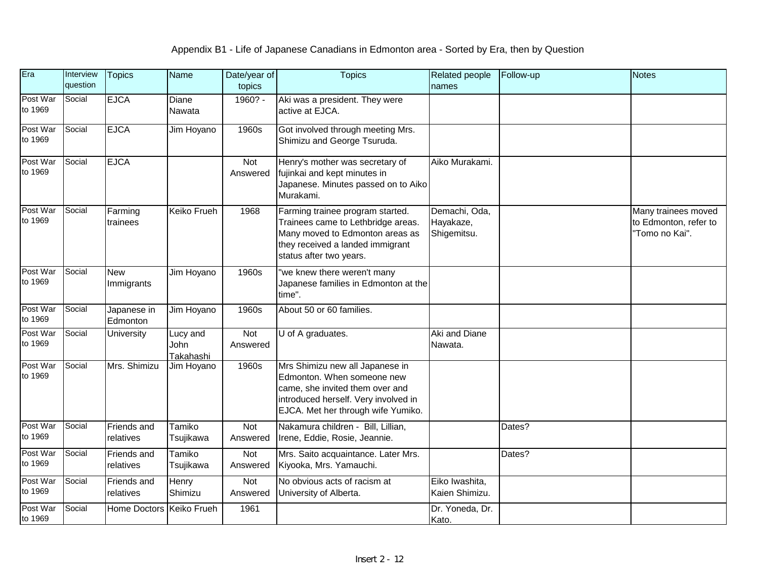| Era                 | Interview<br>question | <b>Topics</b>            | Name                          | Date/year of<br>topics | <b>Topics</b>                                                                                                                                                                  | Related people<br>names                   | Follow-up | <b>Notes</b>                                                   |
|---------------------|-----------------------|--------------------------|-------------------------------|------------------------|--------------------------------------------------------------------------------------------------------------------------------------------------------------------------------|-------------------------------------------|-----------|----------------------------------------------------------------|
| Post War<br>to 1969 | Social                | <b>EJCA</b>              | Diane<br>Nawata               | 1960? -                | Aki was a president. They were<br>active at EJCA.                                                                                                                              |                                           |           |                                                                |
| Post War<br>to 1969 | Social                | <b>EJCA</b>              | Jim Hoyano                    | 1960s                  | Got involved through meeting Mrs.<br>Shimizu and George Tsuruda.                                                                                                               |                                           |           |                                                                |
| Post War<br>to 1969 | Social                | <b>EJCA</b>              |                               | Not<br>Answered        | Henry's mother was secretary of<br>fujinkai and kept minutes in<br>Japanese. Minutes passed on to Aiko<br>Murakami.                                                            | Aiko Murakami.                            |           |                                                                |
| Post War<br>to 1969 | Social                | Farming<br>trainees      | Keiko Frueh                   | 1968                   | Farming trainee program started.<br>Trainees came to Lethbridge areas.<br>Many moved to Edmonton areas as<br>they received a landed immigrant<br>status after two years.       | Demachi, Oda,<br>Hayakaze,<br>Shigemitsu. |           | Many trainees moved<br>to Edmonton, refer to<br>"Tomo no Kai". |
| Post War<br>to 1969 | Social                | <b>New</b><br>Immigrants | Jim Hoyano                    | 1960s                  | 'we knew there weren't many<br>Japanese families in Edmonton at the<br>time".                                                                                                  |                                           |           |                                                                |
| Post War<br>to 1969 | Social                | Japanese in<br>Edmonton  | Jim Hoyano                    | 1960s                  | About 50 or 60 families.                                                                                                                                                       |                                           |           |                                                                |
| Post War<br>to 1969 | Social                | University               | Lucy and<br>John<br>Takahashi | Not<br>Answered        | U of A graduates.                                                                                                                                                              | Aki and Diane<br>Nawata.                  |           |                                                                |
| Post War<br>to 1969 | Social                | Mrs. Shimizu             | Jim Hoyano                    | 1960s                  | Mrs Shimizu new all Japanese in<br>Edmonton. When someone new<br>came, she invited them over and<br>introduced herself. Very involved in<br>EJCA. Met her through wife Yumiko. |                                           |           |                                                                |
| Post War<br>to 1969 | Social                | Friends and<br>relatives | Tamiko<br>Tsujikawa           | Not<br>Answered        | Nakamura children - Bill, Lillian,<br>Irene, Eddie, Rosie, Jeannie.                                                                                                            |                                           | Dates?    |                                                                |
| Post War<br>to 1969 | Social                | Friends and<br>relatives | Tamiko<br>Tsujikawa           | Not<br>Answered        | Mrs. Saito acquaintance. Later Mrs.<br>Kiyooka, Mrs. Yamauchi.                                                                                                                 |                                           | Dates?    |                                                                |
| Post War<br>to 1969 | Social                | Friends and<br>relatives | Henry<br>Shimizu              | Not<br>Answered        | No obvious acts of racism at<br>University of Alberta.                                                                                                                         | Eiko Iwashita,<br>Kaien Shimizu.          |           |                                                                |
| Post War<br>to 1969 | Social                | <b>Home Doctors</b>      | Keiko Frueh                   | 1961                   |                                                                                                                                                                                | Dr. Yoneda, Dr.<br>Kato.                  |           |                                                                |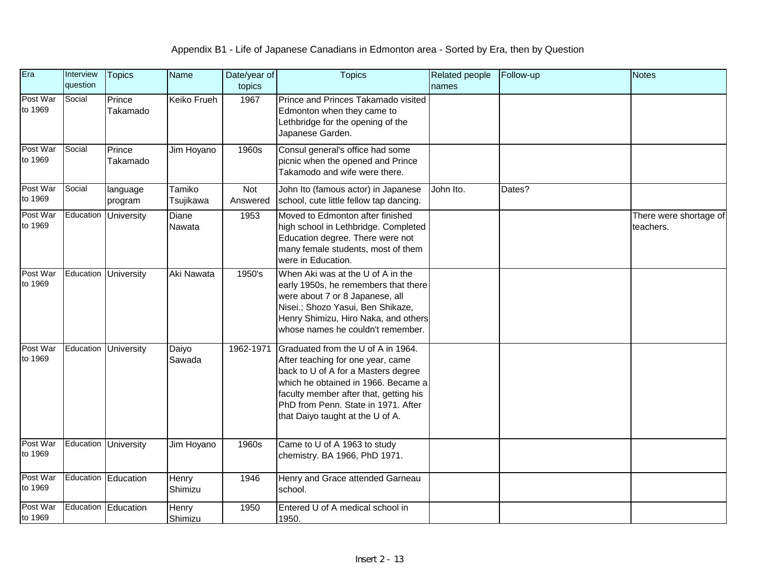| Era                 | Interview<br>question | <b>Topics</b>        | <b>Name</b>         | Date/year of<br>topics | <b>Topics</b>                                                                                                                                                                                                                                                              | <b>Related people</b><br>names | Follow-up | <b>Notes</b>                        |
|---------------------|-----------------------|----------------------|---------------------|------------------------|----------------------------------------------------------------------------------------------------------------------------------------------------------------------------------------------------------------------------------------------------------------------------|--------------------------------|-----------|-------------------------------------|
| Post War<br>to 1969 | Social                | Prince<br>Takamado   | Keiko Frueh         | 1967                   | Prince and Princes Takamado visited<br>Edmonton when they came to<br>Lethbridge for the opening of the<br>Japanese Garden.                                                                                                                                                 |                                |           |                                     |
| Post War<br>to 1969 | Social                | Prince<br>Takamado   | Jim Hoyano          | 1960s                  | Consul general's office had some<br>picnic when the opened and Prince<br>Takamodo and wife were there.                                                                                                                                                                     |                                |           |                                     |
| Post War<br>to 1969 | Social                | language<br>program  | Tamiko<br>Tsujikawa | Not<br>Answered        | John Ito (famous actor) in Japanese<br>school, cute little fellow tap dancing.                                                                                                                                                                                             | John Ito.                      | Dates?    |                                     |
| Post War<br>to 1969 | Education             | <b>University</b>    | Diane<br>Nawata     | 1953                   | Moved to Edmonton after finished<br>high school in Lethbridge. Completed<br>Education degree. There were not<br>many female students, most of them<br>were in Education.                                                                                                   |                                |           | There were shortage of<br>teachers. |
| Post War<br>to 1969 |                       | Education University | Aki Nawata          | 1950's                 | When Aki was at the U of A in the<br>early 1950s, he remembers that there<br>were about 7 or 8 Japanese, all<br>Nisei.; Shozo Yasui, Ben Shikaze,<br>Henry Shimizu, Hiro Naka, and others<br>whose names he couldn't remember.                                             |                                |           |                                     |
| Post War<br>to 1969 |                       | Education University | Daiyo<br>Sawada     | 1962-1971              | Graduated from the U of A in 1964.<br>After teaching for one year, came<br>back to U of A for a Masters degree<br>which he obtained in 1966. Became a<br>faculty member after that, getting his<br>PhD from Penn. State in 1971. After<br>that Daiyo taught at the U of A. |                                |           |                                     |
| Post War<br>to 1969 |                       | Education University | Jim Hoyano          | 1960s                  | Came to U of A 1963 to study<br>chemistry. BA 1966, PhD 1971.                                                                                                                                                                                                              |                                |           |                                     |
| Post War<br>to 1969 |                       | Education Education  | Henry<br>Shimizu    | 1946                   | Henry and Grace attended Garneau<br>school.                                                                                                                                                                                                                                |                                |           |                                     |
| Post War<br>to 1969 |                       | Education Education  | Henry<br>Shimizu    | 1950                   | Entered U of A medical school in<br>1950.                                                                                                                                                                                                                                  |                                |           |                                     |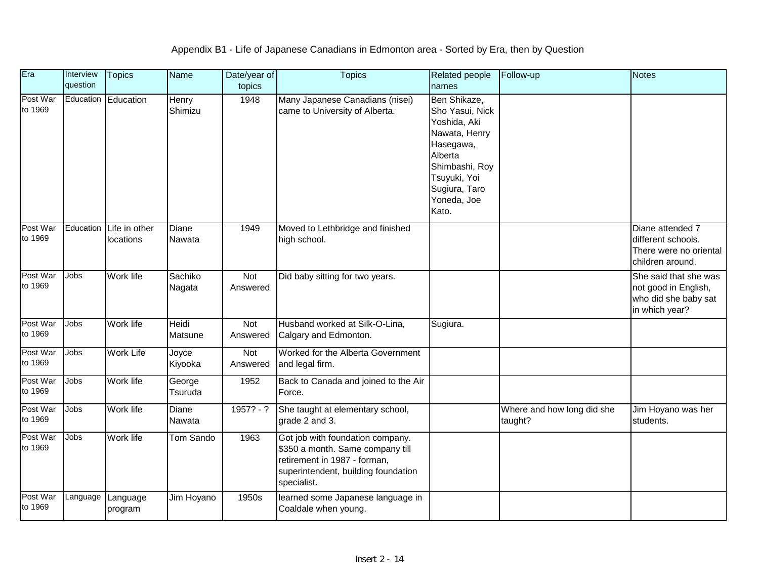| Era                 | Interview<br>question | <b>Topics</b>                | Name              | Date/year of<br>topics | <b>Topics</b>                                                                                                                                              | Related people<br>names                                                                                                                                             | Follow-up                             | <b>Notes</b>                                                                            |
|---------------------|-----------------------|------------------------------|-------------------|------------------------|------------------------------------------------------------------------------------------------------------------------------------------------------------|---------------------------------------------------------------------------------------------------------------------------------------------------------------------|---------------------------------------|-----------------------------------------------------------------------------------------|
| Post War<br>to 1969 |                       | Education Education          | Henry<br>Shimizu  | 1948                   | Many Japanese Canadians (nisei)<br>came to University of Alberta.                                                                                          | Ben Shikaze,<br>Sho Yasui, Nick<br>Yoshida, Aki<br>Nawata, Henry<br>Hasegawa,<br>Alberta<br>Shimbashi, Roy<br>Tsuyuki, Yoi<br>Sugiura, Taro<br>Yoneda, Joe<br>Kato. |                                       |                                                                                         |
| Post War<br>to 1969 | Education             | Life in other<br>locations   | Diane<br>Nawata   | 1949                   | Moved to Lethbridge and finished<br>high school.                                                                                                           |                                                                                                                                                                     |                                       | Diane attended 7<br>different schools.<br>There were no oriental<br>children around.    |
| Post War<br>to 1969 | Jobs                  | Work life                    | Sachiko<br>Nagata | Not<br>Answered        | Did baby sitting for two years.                                                                                                                            |                                                                                                                                                                     |                                       | She said that she was<br>not good in English,<br>who did she baby sat<br>in which year? |
| Post War<br>to 1969 | Jobs                  | Work life                    | Heidi<br>Matsune  | Not<br>Answered        | Husband worked at Silk-O-Lina,<br>Calgary and Edmonton.                                                                                                    | Sugiura.                                                                                                                                                            |                                       |                                                                                         |
| Post War<br>to 1969 | <b>Jobs</b>           | <b>Work Life</b>             | Joyce<br>Kiyooka  | Not<br>Answered        | Worked for the Alberta Government<br>and legal firm.                                                                                                       |                                                                                                                                                                     |                                       |                                                                                         |
| Post War<br>to 1969 | Jobs                  | Work life                    | George<br>Tsuruda | 1952                   | Back to Canada and joined to the Air<br>Force.                                                                                                             |                                                                                                                                                                     |                                       |                                                                                         |
| Post War<br>to 1969 | Jobs                  | Work life                    | Diane<br>Nawata   | $1957? - ?$            | She taught at elementary school,<br>grade 2 and 3.                                                                                                         |                                                                                                                                                                     | Where and how long did she<br>taught? | Jim Hoyano was her<br>students.                                                         |
| Post War<br>to 1969 | Jobs                  | Work life                    | Tom Sando         | 1963                   | Got job with foundation company.<br>\$350 a month. Same company till<br>retirement in 1987 - forman,<br>superintendent, building foundation<br>specialist. |                                                                                                                                                                     |                                       |                                                                                         |
| Post War<br>to 1969 |                       | Language Language<br>program | Jim Hoyano        | 1950s                  | learned some Japanese language in<br>Coaldale when young.                                                                                                  |                                                                                                                                                                     |                                       |                                                                                         |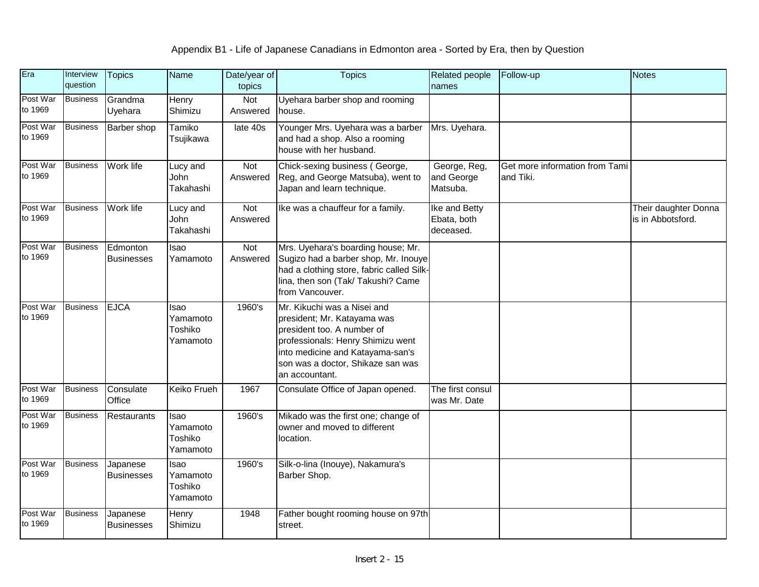| Era                 | Interview<br>question | <b>Topics</b>                 | Name                                    | Date/year of<br>topics | <b>Topics</b>                                                                                                                                                                                                            | Related people<br>names                   | Follow-up                                   | <b>Notes</b>                              |
|---------------------|-----------------------|-------------------------------|-----------------------------------------|------------------------|--------------------------------------------------------------------------------------------------------------------------------------------------------------------------------------------------------------------------|-------------------------------------------|---------------------------------------------|-------------------------------------------|
| Post War<br>to 1969 | <b>Business</b>       | Grandma<br>Uyehara            | Henry<br>Shimizu                        | Not<br>Answered        | Uyehara barber shop and rooming<br>house.                                                                                                                                                                                |                                           |                                             |                                           |
| Post War<br>to 1969 | <b>Business</b>       | <b>Barber</b> shop            | Tamiko<br>Tsujikawa                     | late 40s               | Younger Mrs. Uyehara was a barber<br>and had a shop. Also a rooming<br>house with her husband.                                                                                                                           | Mrs. Uyehara.                             |                                             |                                           |
| Post War<br>to 1969 | <b>Business</b>       | Work life                     | Lucy and<br>John<br>Takahashi           | Not<br>Answered        | Chick-sexing business (George,<br>Reg, and George Matsuba), went to<br>Japan and learn technique.                                                                                                                        | George, Reg,<br>and George<br>Matsuba.    | Get more information from Tami<br>and Tiki. |                                           |
| Post War<br>to 1969 | <b>Business</b>       | Work life                     | Lucy and<br>John<br>Takahashi           | Not<br>Answered        | Ike was a chauffeur for a family.                                                                                                                                                                                        | Ike and Betty<br>Ebata, both<br>deceased. |                                             | Their daughter Donna<br>is in Abbotsford. |
| Post War<br>to 1969 | <b>Business</b>       | Edmonton<br><b>Businesses</b> | Isao<br>Yamamoto                        | Not<br>Answered        | Mrs. Uyehara's boarding house; Mr.<br>Sugizo had a barber shop, Mr. Inouye<br>had a clothing store, fabric called Silk-<br>lina, then son (Tak/ Takushi? Came<br>from Vancouver.                                         |                                           |                                             |                                           |
| Post War<br>to 1969 | <b>Business</b>       | <b>EJCA</b>                   | Isao<br>Yamamoto<br>Toshiko<br>Yamamoto | 1960's                 | Mr. Kikuchi was a Nisei and<br>president; Mr. Katayama was<br>president too. A number of<br>professionals: Henry Shimizu went<br>into medicine and Katayama-san's<br>son was a doctor, Shikaze san was<br>an accountant. |                                           |                                             |                                           |
| Post War<br>to 1969 | <b>Business</b>       | Consulate<br>Office           | Keiko Frueh                             | 1967                   | Consulate Office of Japan opened.                                                                                                                                                                                        | The first consul<br>was Mr. Date          |                                             |                                           |
| Post War<br>to 1969 | <b>Business</b>       | Restaurants                   | Isao<br>Yamamoto<br>Toshiko<br>Yamamoto | 1960's                 | Mikado was the first one; change of<br>owner and moved to different<br>location.                                                                                                                                         |                                           |                                             |                                           |
| Post War<br>to 1969 | <b>Business</b>       | Japanese<br><b>Businesses</b> | Isao<br>Yamamoto<br>Toshiko<br>Yamamoto | 1960's                 | Silk-o-lina (Inouye), Nakamura's<br>Barber Shop.                                                                                                                                                                         |                                           |                                             |                                           |
| Post War<br>to 1969 | <b>Business</b>       | Japanese<br><b>Businesses</b> | Henry<br>Shimizu                        | 1948                   | Father bought rooming house on 97th<br>street.                                                                                                                                                                           |                                           |                                             |                                           |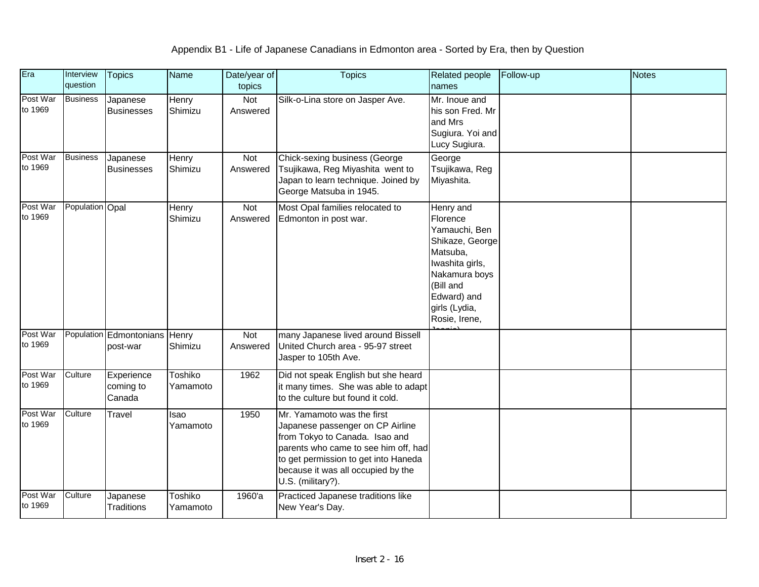| Era                 | Interview<br>question | <b>Topics</b>                             | <b>Name</b>         | Date/year of<br>topics | <b>Topics</b>                                                                                                                                                                                                                               | <b>Related people</b><br>names                                                                                                                                          | Follow-up | <b>Notes</b> |
|---------------------|-----------------------|-------------------------------------------|---------------------|------------------------|---------------------------------------------------------------------------------------------------------------------------------------------------------------------------------------------------------------------------------------------|-------------------------------------------------------------------------------------------------------------------------------------------------------------------------|-----------|--------------|
| Post War<br>to 1969 | <b>Business</b>       | Japanese<br><b>Businesses</b>             | Henry<br>Shimizu    | Not<br>Answered        | Silk-o-Lina store on Jasper Ave.                                                                                                                                                                                                            | Mr. Inoue and<br>his son Fred. Mr<br>and Mrs<br>Sugiura. Yoi and<br>Lucy Sugiura.                                                                                       |           |              |
| Post War<br>to 1969 | <b>Business</b>       | Japanese<br><b>Businesses</b>             | Henry<br>Shimizu    | Not<br>Answered        | Chick-sexing business (George<br>Tsujikawa, Reg Miyashita went to<br>Japan to learn technique. Joined by<br>George Matsuba in 1945.                                                                                                         | George<br>Tsujikawa, Reg<br>Miyashita.                                                                                                                                  |           |              |
| Post War<br>to 1969 | Population Opal       |                                           | Henry<br>Shimizu    | Not<br>Answered        | Most Opal families relocated to<br>Edmonton in post war.                                                                                                                                                                                    | Henry and<br>Florence<br>Yamauchi, Ben<br>Shikaze, George<br>Matsuba,<br>Iwashita girls,<br>Nakamura boys<br>(Bill and<br>Edward) and<br>girls (Lydia,<br>Rosie, Irene, |           |              |
| Post War<br>to 1969 |                       | Population Edmontonians Henry<br>post-war | Shimizu             | Not<br>Answered        | many Japanese lived around Bissell<br>United Church area - 95-97 street<br>Jasper to 105th Ave.                                                                                                                                             |                                                                                                                                                                         |           |              |
| Post War<br>to 1969 | Culture               | Experience<br>coming to<br>Canada         | Toshiko<br>Yamamoto | 1962                   | Did not speak English but she heard<br>it many times. She was able to adapt<br>to the culture but found it cold.                                                                                                                            |                                                                                                                                                                         |           |              |
| Post War<br>to 1969 | Culture               | Travel                                    | Isao<br>Yamamoto    | 1950                   | Mr. Yamamoto was the first<br>Japanese passenger on CP Airline<br>from Tokyo to Canada. Isao and<br>parents who came to see him off, had<br>to get permission to get into Haneda<br>because it was all occupied by the<br>U.S. (military?). |                                                                                                                                                                         |           |              |
| Post War<br>to 1969 | Culture               | Japanese<br><b>Traditions</b>             | Toshiko<br>Yamamoto | 1960'a                 | Practiced Japanese traditions like<br>New Year's Day.                                                                                                                                                                                       |                                                                                                                                                                         |           |              |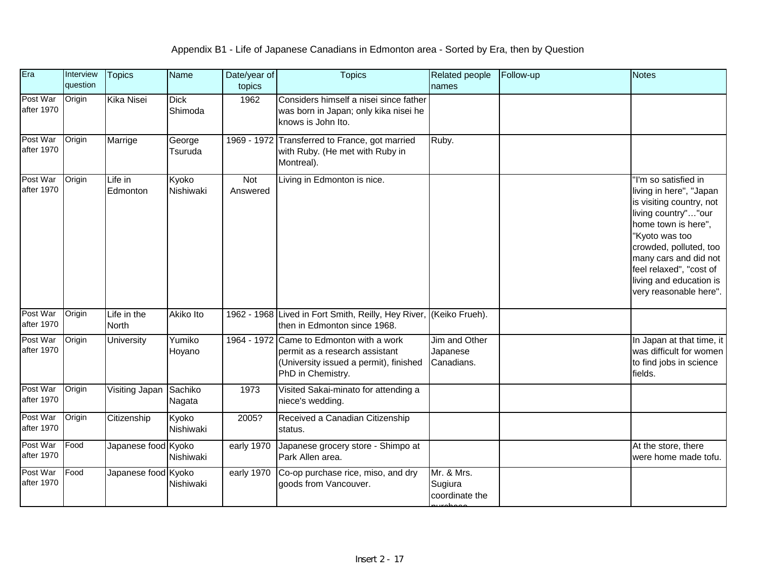| Era                    | Interview<br>question | <b>Topics</b>               | Name                   | Date/year of<br>topics | <b>Topics</b>                                                                                                                             | <b>Related people</b><br>names          | Follow-up | Notes                                                                                                                                                                                                                                                                          |
|------------------------|-----------------------|-----------------------------|------------------------|------------------------|-------------------------------------------------------------------------------------------------------------------------------------------|-----------------------------------------|-----------|--------------------------------------------------------------------------------------------------------------------------------------------------------------------------------------------------------------------------------------------------------------------------------|
| Post War<br>after 1970 | Origin                | Kika Nisei                  | <b>Dick</b><br>Shimoda | 1962                   | Considers himself a nisei since father<br>was born in Japan; only kika nisei he<br>knows is John Ito.                                     |                                         |           |                                                                                                                                                                                                                                                                                |
| Post War<br>after 1970 | Origin                | Marrige                     | George<br>Tsuruda      | 1969 - 1972            | Transferred to France, got married<br>with Ruby. (He met with Ruby in<br>Montreal).                                                       | Ruby.                                   |           |                                                                                                                                                                                                                                                                                |
| Post War<br>after 1970 | Origin                | Life in<br>Edmonton         | Kyoko<br>Nishiwaki     | Not<br>Answered        | Living in Edmonton is nice.                                                                                                               |                                         |           | "I'm so satisfied in<br>living in here", "Japan<br>is visiting country, not<br>living country""our<br>home town is here",<br>"Kyoto was too<br>crowded, polluted, too<br>many cars and did not<br>feel relaxed", "cost of<br>living and education is<br>very reasonable here". |
| Post War<br>after 1970 | Origin                | Life in the<br><b>North</b> | Akiko Ito              | $1962 - 1968$          | Lived in Fort Smith, Reilly, Hey River,<br>then in Edmonton since 1968.                                                                   | (Keiko Frueh).                          |           |                                                                                                                                                                                                                                                                                |
| Post War<br>after 1970 | Origin                | <b>University</b>           | Yumiko<br>Hoyano       |                        | 1964 - 1972 Came to Edmonton with a work<br>permit as a research assistant<br>(University issued a permit), finished<br>PhD in Chemistry. | Jim and Other<br>Japanese<br>Canadians. |           | In Japan at that time, it<br>was difficult for women<br>to find jobs in science<br>fields.                                                                                                                                                                                     |
| Post War<br>after 1970 | Origin                | Visiting Japan              | Sachiko<br>Nagata      | 1973                   | Visited Sakai-minato for attending a<br>niece's wedding.                                                                                  |                                         |           |                                                                                                                                                                                                                                                                                |
| Post War<br>after 1970 | Origin                | Citizenship                 | Kyoko<br>Nishiwaki     | 2005?                  | Received a Canadian Citizenship<br>status.                                                                                                |                                         |           |                                                                                                                                                                                                                                                                                |
| Post War<br>after 1970 | Food                  | Japanese food Kyoko         | Nishiwaki              | early 1970             | Japanese grocery store - Shimpo at<br>Park Allen area.                                                                                    |                                         |           | At the store, there<br>were home made tofu.                                                                                                                                                                                                                                    |
| Post War<br>after 1970 | Food                  | Japanese food Kyoko         | Nishiwaki              | early 1970             | Co-op purchase rice, miso, and dry<br>goods from Vancouver.                                                                               | Mr. & Mrs.<br>Sugiura<br>coordinate the |           |                                                                                                                                                                                                                                                                                |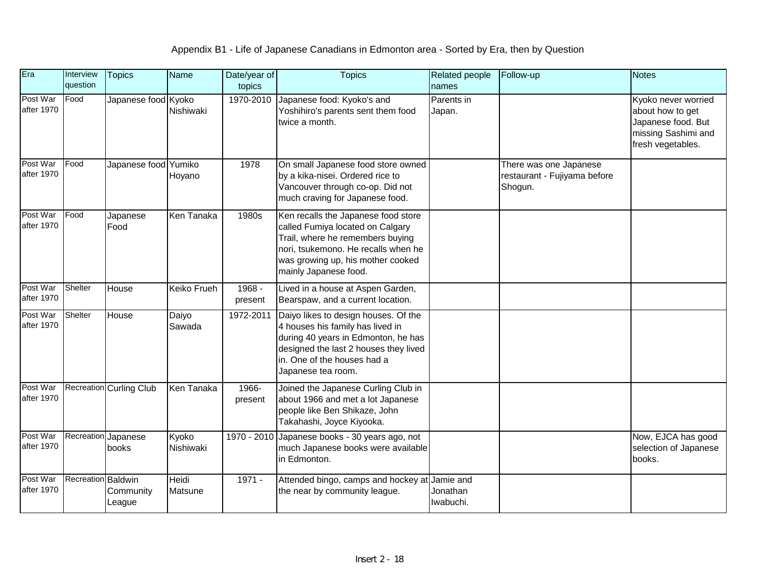| Era                    | Interview<br>question | <b>Topics</b>                  | <b>Name</b>        | Date/year of<br>topics | <b>Topics</b>                                                                                                                                                                                                    | <b>Related people</b><br>names | Follow-up                                                         | <b>Notes</b>                                                                                              |
|------------------------|-----------------------|--------------------------------|--------------------|------------------------|------------------------------------------------------------------------------------------------------------------------------------------------------------------------------------------------------------------|--------------------------------|-------------------------------------------------------------------|-----------------------------------------------------------------------------------------------------------|
| Post War<br>after 1970 | Food                  | Japanese food Kyoko            | Nishiwaki          | 1970-2010              | Japanese food: Kyoko's and<br>Yoshihiro's parents sent them food<br>twice a month.                                                                                                                               | Parents in<br>Japan.           |                                                                   | Kyoko never worried<br>about how to get<br>Japanese food. But<br>missing Sashimi and<br>fresh vegetables. |
| Post War<br>after 1970 | Food                  | Japanese food Yumiko           | Hoyano             | 1978                   | On small Japanese food store owned<br>by a kika-nisei. Ordered rice to<br>Vancouver through co-op. Did not<br>much craving for Japanese food.                                                                    |                                | There was one Japanese<br>restaurant - Fujiyama before<br>Shogun. |                                                                                                           |
| Post War<br>after 1970 | Food                  | Japanese<br>Food               | Ken Tanaka         | 1980s                  | Ken recalls the Japanese food store<br>called Fumiya located on Calgary<br>Trail, where he remembers buying<br>nori, tsukemono. He recalls when he<br>was growing up, his mother cooked<br>mainly Japanese food. |                                |                                                                   |                                                                                                           |
| Post War<br>after 1970 | Shelter               | House                          | <b>Keiko Frueh</b> | $1968 -$<br>present    | Lived in a house at Aspen Garden,<br>Bearspaw, and a current location.                                                                                                                                           |                                |                                                                   |                                                                                                           |
| Post War<br>after 1970 | Shelter               | House                          | Daiyo<br>Sawada    | 1972-2011              | Daiyo likes to design houses. Of the<br>4 houses his family has lived in<br>during 40 years in Edmonton, he has<br>designed the last 2 houses they lived<br>in. One of the houses had a<br>Japanese tea room.    |                                |                                                                   |                                                                                                           |
| Post War<br>after 1970 |                       | <b>Recreation Curling Club</b> | Ken Tanaka         | 1966-<br>present       | Joined the Japanese Curling Club in<br>about 1966 and met a lot Japanese<br>people like Ben Shikaze, John<br>Takahashi, Joyce Kiyooka.                                                                           |                                |                                                                   |                                                                                                           |
| Post War<br>after 1970 |                       | Recreation Japanese<br>books   | Kyoko<br>Nishiwaki |                        | 1970 - 2010 Japanese books - 30 years ago, not<br>much Japanese books were available<br>in Edmonton.                                                                                                             |                                |                                                                   | Now, EJCA has good<br>selection of Japanese<br>books.                                                     |
| Post War<br>after 1970 | Recreation Baldwin    | Community<br>League            | Heidi<br>Matsune   | $1971 -$               | Attended bingo, camps and hockey at Jamie and<br>the near by community league.                                                                                                                                   | Jonathan<br>Iwabuchi.          |                                                                   |                                                                                                           |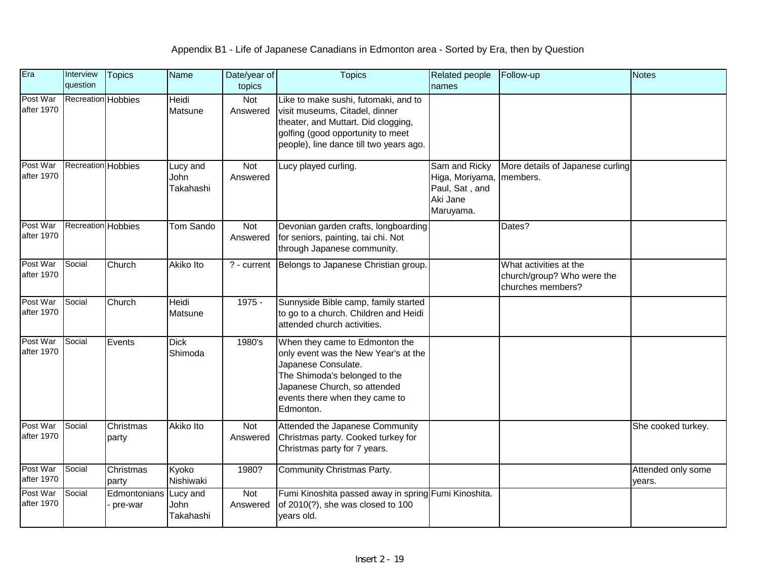| Era                    | Interview<br>question | <b>Topics</b>           | Name                          | Date/year of<br>topics | <b>Topics</b>                                                                                                                                                                                                 | <b>Related people</b><br>names                                              | Follow-up                                                                 | <b>Notes</b>                 |
|------------------------|-----------------------|-------------------------|-------------------------------|------------------------|---------------------------------------------------------------------------------------------------------------------------------------------------------------------------------------------------------------|-----------------------------------------------------------------------------|---------------------------------------------------------------------------|------------------------------|
| Post War<br>after 1970 | Recreation Hobbies    |                         | <b>Heidi</b><br>Matsune       | Not<br>Answered        | Like to make sushi, futomaki, and to<br>visit museums, Citadel, dinner<br>theater, and Muttart. Did clogging,<br>golfing (good opportunity to meet<br>people), line dance till two years ago.                 |                                                                             |                                                                           |                              |
| Post War<br>after 1970 | Recreation Hobbies    |                         | Lucy and<br>John<br>Takahashi | Not<br>Answered        | Lucy played curling.                                                                                                                                                                                          | Sam and Ricky<br>Higa, Moriyama,<br>Paul, Sat, and<br>Aki Jane<br>Maruyama. | More details of Japanese curling<br>members.                              |                              |
| Post War<br>after 1970 | Recreation Hobbies    |                         | Tom Sando                     | Not<br>Answered        | Devonian garden crafts, longboarding<br>for seniors, painting, tai chi. Not<br>through Japanese community.                                                                                                    |                                                                             | Dates?                                                                    |                              |
| Post War<br>after 1970 | Social                | Church                  | Akiko Ito                     | ? - current            | Belongs to Japanese Christian group.                                                                                                                                                                          |                                                                             | What activities at the<br>church/group? Who were the<br>churches members? |                              |
| Post War<br>after 1970 | Social                | Church                  | Heidi<br>Matsune              | 1975 -                 | Sunnyside Bible camp, family started<br>to go to a church. Children and Heidi<br>attended church activities.                                                                                                  |                                                                             |                                                                           |                              |
| Post War<br>after 1970 | Social                | Events                  | <b>Dick</b><br>Shimoda        | 1980's                 | When they came to Edmonton the<br>only event was the New Year's at the<br>Japanese Consulate.<br>The Shimoda's belonged to the<br>Japanese Church, so attended<br>events there when they came to<br>Edmonton. |                                                                             |                                                                           |                              |
| Post War<br>after 1970 | Social                | Christmas<br>party      | Akiko Ito                     | Not<br>Answered        | Attended the Japanese Community<br>Christmas party. Cooked turkey for<br>Christmas party for 7 years.                                                                                                         |                                                                             |                                                                           | She cooked turkey.           |
| Post War<br>after 1970 | Social                | Christmas<br>party      | Kyoko<br>Nishiwaki            | 1980?                  | Community Christmas Party.                                                                                                                                                                                    |                                                                             |                                                                           | Attended only some<br>years. |
| Post War<br>after 1970 | Social                | Edmontonians<br>pre-war | Lucy and<br>John<br>Takahashi | Not<br>Answered        | Fumi Kinoshita passed away in spring Fumi Kinoshita.<br>of 2010(?), she was closed to 100<br>vears old.                                                                                                       |                                                                             |                                                                           |                              |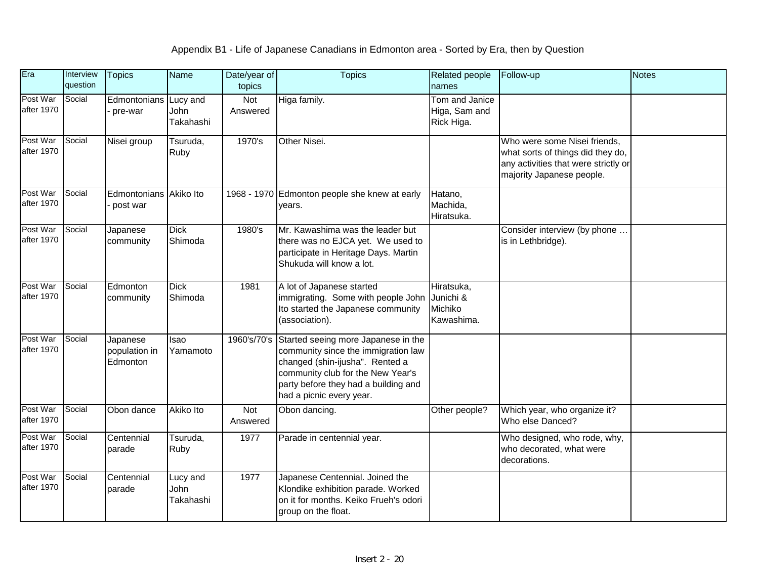| Era                    | Interview<br>question | <b>Topics</b>                         | <b>Name</b>                   | Date/year of<br>topics | <b>Topics</b>                                                                                                                                                                                                                      | Related people<br>names                          | Follow-up                                                                                                                              | <b>Notes</b> |
|------------------------|-----------------------|---------------------------------------|-------------------------------|------------------------|------------------------------------------------------------------------------------------------------------------------------------------------------------------------------------------------------------------------------------|--------------------------------------------------|----------------------------------------------------------------------------------------------------------------------------------------|--------------|
| Post War<br>after 1970 | Social                | Edmontonians Lucy and<br>pre-war      | John<br>Takahashi             | Not<br>Answered        | Higa family.                                                                                                                                                                                                                       | Tom and Janice<br>Higa, Sam and<br>Rick Higa.    |                                                                                                                                        |              |
| Post War<br>after 1970 | Social                | Nisei group                           | Tsuruda,<br>Ruby              | 1970's                 | Other Nisei.                                                                                                                                                                                                                       |                                                  | Who were some Nisei friends,<br>what sorts of things did they do,<br>any activities that were strictly or<br>majority Japanese people. |              |
| Post War<br>after 1970 | Social                | Edmontonians Akiko Ito<br>post war    |                               |                        | 1968 - 1970 Edmonton people she knew at early<br>years.                                                                                                                                                                            | Hatano,<br>Machida,<br>Hiratsuka.                |                                                                                                                                        |              |
| Post War<br>after 1970 | Social                | Japanese<br>community                 | <b>Dick</b><br>Shimoda        | 1980's                 | Mr. Kawashima was the leader but<br>there was no EJCA yet. We used to<br>participate in Heritage Days. Martin<br>Shukuda will know a lot.                                                                                          |                                                  | Consider interview (by phone<br>is in Lethbridge).                                                                                     |              |
| Post War<br>after 1970 | Social                | Edmonton<br>community                 | <b>Dick</b><br>Shimoda        | 1981                   | A lot of Japanese started<br>immigrating. Some with people John<br>Ito started the Japanese community<br>(association).                                                                                                            | Hiratsuka,<br>Junichi &<br>Michiko<br>Kawashima. |                                                                                                                                        |              |
| Post War<br>after 1970 | Social                | Japanese<br>population in<br>Edmonton | Isao<br>Yamamoto              |                        | 1960's/70's Started seeing more Japanese in the<br>community since the immigration law<br>changed (shin-ijusha". Rented a<br>community club for the New Year's<br>party before they had a building and<br>had a picnic every year. |                                                  |                                                                                                                                        |              |
| Post War<br>after 1970 | Social                | Obon dance                            | Akiko Ito                     | Not<br>Answered        | Obon dancing.                                                                                                                                                                                                                      | Other people?                                    | Which year, who organize it?<br>Who else Danced?                                                                                       |              |
| Post War<br>after 1970 | Social                | Centennial<br>parade                  | Tsuruda,<br>Ruby              | 1977                   | Parade in centennial year.                                                                                                                                                                                                         |                                                  | Who designed, who rode, why,<br>who decorated, what were<br>decorations.                                                               |              |
| Post War<br>after 1970 | Social                | Centennial<br>parade                  | Lucy and<br>John<br>Takahashi | 1977                   | Japanese Centennial. Joined the<br>Klondike exhibition parade. Worked<br>on it for months. Keiko Frueh's odori<br>group on the float.                                                                                              |                                                  |                                                                                                                                        |              |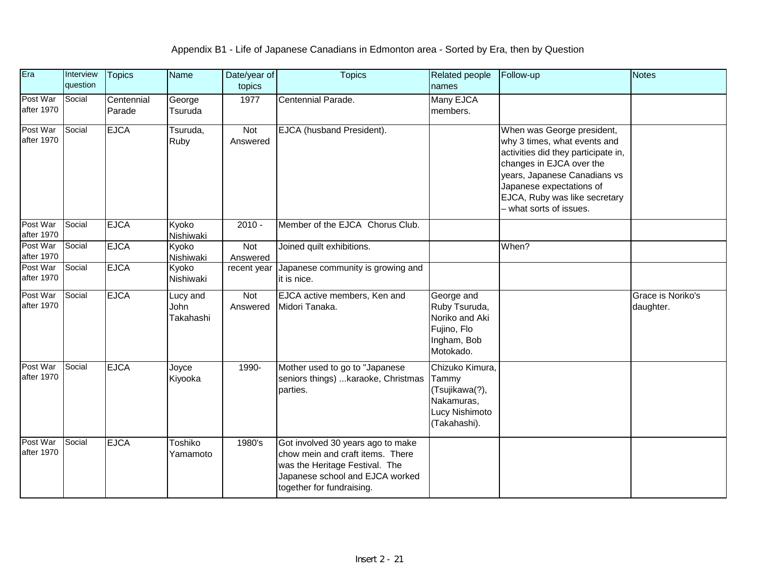| Era                    | Interview<br>question | <b>Topics</b>        | Name                                 | Date/year of<br>topics | <b>Topics</b>                                                                                                                                                           | Related people<br>names                                                                    | Follow-up                                                                                                                                                                                                                                             | <b>Notes</b>                   |
|------------------------|-----------------------|----------------------|--------------------------------------|------------------------|-------------------------------------------------------------------------------------------------------------------------------------------------------------------------|--------------------------------------------------------------------------------------------|-------------------------------------------------------------------------------------------------------------------------------------------------------------------------------------------------------------------------------------------------------|--------------------------------|
| Post War<br>after 1970 | Social                | Centennial<br>Parade | George<br>Tsuruda                    | 1977                   | Centennial Parade.                                                                                                                                                      | Many EJCA<br>members.                                                                      |                                                                                                                                                                                                                                                       |                                |
| Post War<br>after 1970 | Social                | <b>EJCA</b>          | Tsuruda,<br>Ruby                     | Not<br>Answered        | EJCA (husband President).                                                                                                                                               |                                                                                            | When was George president,<br>why 3 times, what events and<br>activities did they participate in,<br>changes in EJCA over the<br>years, Japanese Canadians vs<br>Japanese expectations of<br>EJCA, Ruby was like secretary<br>- what sorts of issues. |                                |
| Post War<br>after 1970 | Social                | <b>EJCA</b>          | Kyoko<br>Nishiwaki                   | $2010 -$               | Member of the EJCA Chorus Club.                                                                                                                                         |                                                                                            |                                                                                                                                                                                                                                                       |                                |
| Post War<br>after 1970 | Social                | <b>EJCA</b>          | Kyoko<br>Nishiwaki                   | <b>Not</b><br>Answered | Joined quilt exhibitions.                                                                                                                                               |                                                                                            | When?                                                                                                                                                                                                                                                 |                                |
| Post War<br>after 1970 | Social                | <b>EJCA</b>          | Kyoko<br>Nishiwaki                   | recent year            | Japanese community is growing and<br>it is nice.                                                                                                                        |                                                                                            |                                                                                                                                                                                                                                                       |                                |
| Post War<br>after 1970 | Social                | <b>EJCA</b>          | Lucy and<br><b>John</b><br>Takahashi | Not<br>Answered        | EJCA active members, Ken and<br>Midori Tanaka.                                                                                                                          | George and<br>Ruby Tsuruda,<br>Noriko and Aki<br>Fujino, Flo<br>Ingham, Bob<br>Motokado.   |                                                                                                                                                                                                                                                       | Grace is Noriko's<br>daughter. |
| Post War<br>after 1970 | Social                | <b>EJCA</b>          | Joyce<br>Kiyooka                     | 1990-                  | Mother used to go to "Japanese<br>seniors things)  karaoke, Christmas<br>parties.                                                                                       | Chizuko Kimura,<br>Tammy<br>(Tsujikawa(?),<br>Nakamuras,<br>Lucy Nishimoto<br>(Takahashi). |                                                                                                                                                                                                                                                       |                                |
| Post War<br>after 1970 | Social                | <b>EJCA</b>          | Toshiko<br>Yamamoto                  | 1980's                 | Got involved 30 years ago to make<br>chow mein and craft items. There<br>was the Heritage Festival. The<br>Japanese school and EJCA worked<br>together for fundraising. |                                                                                            |                                                                                                                                                                                                                                                       |                                |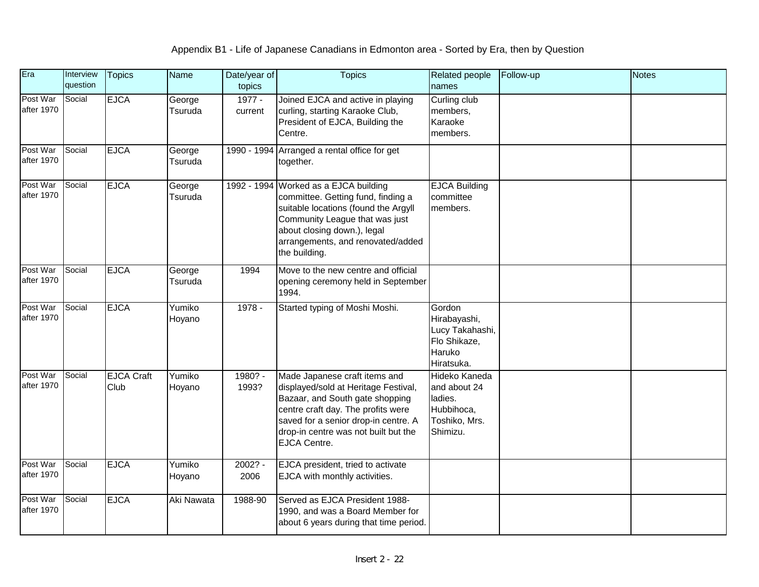| Era                    | Interview<br>question | <b>Topics</b>             | <b>Name</b>       | Date/year of<br>topics | <b>Topics</b>                                                                                                                                                                                                                                         | <b>Related people</b><br>names                                                      | Follow-up | <b>Notes</b> |
|------------------------|-----------------------|---------------------------|-------------------|------------------------|-------------------------------------------------------------------------------------------------------------------------------------------------------------------------------------------------------------------------------------------------------|-------------------------------------------------------------------------------------|-----------|--------------|
| Post War<br>after 1970 | Social                | <b>EJCA</b>               | George<br>Tsuruda | 1977 -<br>current      | Joined EJCA and active in playing<br>curling, starting Karaoke Club,<br>President of EJCA, Building the<br>Centre.                                                                                                                                    | Curling club<br>members,<br>Karaoke<br>members.                                     |           |              |
| Post War<br>after 1970 | Social                | <b>EJCA</b>               | George<br>Tsuruda |                        | 1990 - 1994 Arranged a rental office for get<br>together.                                                                                                                                                                                             |                                                                                     |           |              |
| Post War<br>after 1970 | Social                | <b>EJCA</b>               | George<br>Tsuruda |                        | 1992 - 1994 Worked as a EJCA building<br>committee. Getting fund, finding a<br>suitable locations (found the Argyll<br>Community League that was just<br>about closing down.), legal<br>arrangements, and renovated/added<br>the building.            | <b>EJCA Building</b><br>committee<br>members.                                       |           |              |
| Post War<br>after 1970 | Social                | <b>EJCA</b>               | George<br>Tsuruda | 1994                   | Move to the new centre and official<br>opening ceremony held in September<br>1994.                                                                                                                                                                    |                                                                                     |           |              |
| Post War<br>after 1970 | Social                | <b>EJCA</b>               | Yumiko<br>Hoyano  | 1978 -                 | Started typing of Moshi Moshi.                                                                                                                                                                                                                        | Gordon<br>Hirabayashi,<br>Lucy Takahashi,<br>Flo Shikaze,<br>Haruko<br>Hiratsuka.   |           |              |
| Post War<br>after 1970 | Social                | <b>EJCA Craft</b><br>Club | Yumiko<br>Hoyano  | 1980? -<br>1993?       | Made Japanese craft items and<br>displayed/sold at Heritage Festival,<br>Bazaar, and South gate shopping<br>centre craft day. The profits were<br>saved for a senior drop-in centre. A<br>drop-in centre was not built but the<br><b>EJCA Centre.</b> | Hideko Kaneda<br>and about 24<br>ladies.<br>Hubbihoca,<br>Toshiko, Mrs.<br>Shimizu. |           |              |
| Post War<br>after 1970 | Social                | <b>EJCA</b>               | Yumiko<br>Hoyano  | $2002? -$<br>2006      | EJCA president, tried to activate<br>EJCA with monthly activities.                                                                                                                                                                                    |                                                                                     |           |              |
| Post War<br>after 1970 | Social                | <b>EJCA</b>               | Aki Nawata        | 1988-90                | Served as EJCA President 1988-<br>1990, and was a Board Member for<br>about 6 years during that time period.                                                                                                                                          |                                                                                     |           |              |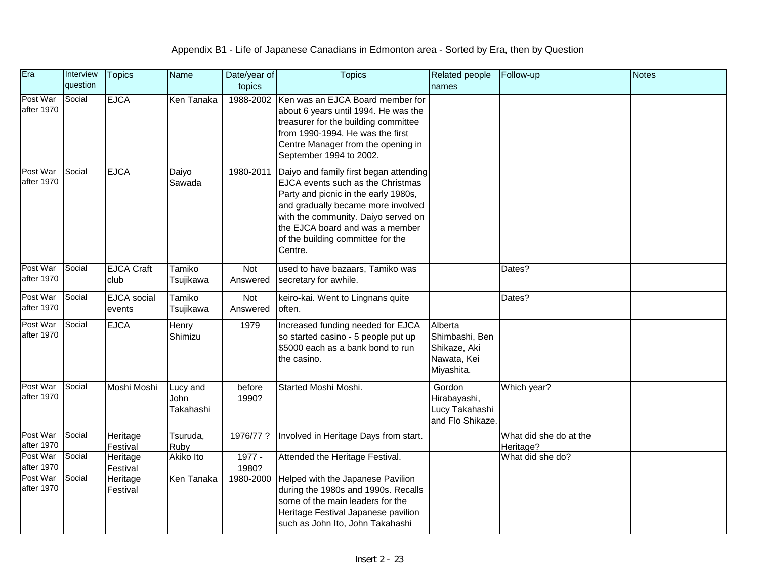| Era                    | Interview<br>question | <b>Topics</b>                    | <b>Name</b>                   | Date/year of<br>topics | <b>Topics</b>                                                                                                                                                                                                                                                                       | Related people<br>names                                                | Follow-up                     | <b>Notes</b> |
|------------------------|-----------------------|----------------------------------|-------------------------------|------------------------|-------------------------------------------------------------------------------------------------------------------------------------------------------------------------------------------------------------------------------------------------------------------------------------|------------------------------------------------------------------------|-------------------------------|--------------|
| Post War<br>after 1970 | Social                | <b>EJCA</b>                      | Ken Tanaka                    |                        | 1988-2002 Ken was an EJCA Board member for<br>about 6 years until 1994. He was the<br>treasurer for the building committee<br>from 1990-1994. He was the first<br>Centre Manager from the opening in<br>September 1994 to 2002.                                                     |                                                                        |                               |              |
| Post War<br>after 1970 | Social                | <b>EJCA</b>                      | Daiyo<br>Sawada               | 1980-2011              | Daiyo and family first began attending<br>EJCA events such as the Christmas<br>Party and picnic in the early 1980s,<br>and gradually became more involved<br>with the community. Daiyo served on<br>the EJCA board and was a member<br>of the building committee for the<br>Centre. |                                                                        |                               |              |
| Post War<br>after 1970 | Social                | <b>EJCA Craft</b><br>club        | Tamiko<br>Tsujikawa           | Not<br>Answered        | used to have bazaars, Tamiko was<br>secretary for awhile.                                                                                                                                                                                                                           |                                                                        | Dates?                        |              |
| Post War<br>after 1970 | Social                | <b>EJCA</b> social<br>events     | Tamiko<br>Tsujikawa           | Not<br>Answered        | keiro-kai. Went to Lingnans quite<br>often.                                                                                                                                                                                                                                         |                                                                        | Dates?                        |              |
| Post War<br>after 1970 | Social                | <b>EJCA</b>                      | Henry<br>Shimizu              | 1979                   | Increased funding needed for EJCA<br>so started casino - 5 people put up<br>\$5000 each as a bank bond to run<br>the casino.                                                                                                                                                        | Alberta<br>Shimbashi, Ben<br>Shikaze, Aki<br>Nawata, Kei<br>Miyashita. |                               |              |
| Post War<br>after 1970 | Social                | Moshi Moshi                      | Lucy and<br>John<br>Takahashi | before<br>1990?        | Started Moshi Moshi.                                                                                                                                                                                                                                                                | Gordon<br>Hirabayashi,<br>Lucy Takahashi<br>and Flo Shikaze.           | Which year?                   |              |
| Post War<br>after 1970 | Social                | Heritage                         | Tsuruda,                      | 1976/77 ?              | Involved in Heritage Days from start.                                                                                                                                                                                                                                               |                                                                        | What did she do at the        |              |
| Post War<br>after 1970 | Social                | Festival<br>Heritage<br>Festival | Ruby<br>Akiko Ito             | $1977 -$<br>1980?      | Attended the Heritage Festival.                                                                                                                                                                                                                                                     |                                                                        | Heritage?<br>What did she do? |              |
| Post War<br>after 1970 | Social                | Heritage<br>Festival             | Ken Tanaka                    |                        | 1980-2000 Helped with the Japanese Pavilion<br>during the 1980s and 1990s. Recalls<br>some of the main leaders for the<br>Heritage Festival Japanese pavilion<br>such as John Ito, John Takahashi                                                                                   |                                                                        |                               |              |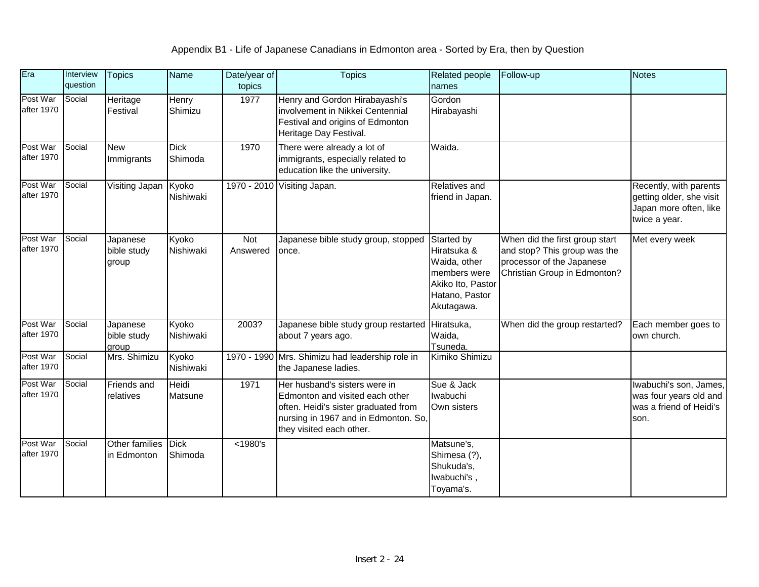| Era                    | Interview<br>question | <b>Topics</b>                    | <b>Name</b>             | Date/year of<br>topics | <b>Topics</b>                                                                                                                                                                | <b>Related people</b><br>names                                                                                 | Follow-up                                                                                                                   | <b>Notes</b>                                                                                  |
|------------------------|-----------------------|----------------------------------|-------------------------|------------------------|------------------------------------------------------------------------------------------------------------------------------------------------------------------------------|----------------------------------------------------------------------------------------------------------------|-----------------------------------------------------------------------------------------------------------------------------|-----------------------------------------------------------------------------------------------|
| Post War<br>after 1970 | Social                | Heritage<br>Festival             | Henry<br>Shimizu        | 1977                   | Henry and Gordon Hirabayashi's<br>involvement in Nikkei Centennial<br>Festival and origins of Edmonton<br>Heritage Day Festival.                                             | Gordon<br>Hirabayashi                                                                                          |                                                                                                                             |                                                                                               |
| Post War<br>after 1970 | Social                | <b>New</b><br>Immigrants         | <b>Dick</b><br>Shimoda  | 1970                   | There were already a lot of<br>immigrants, especially related to<br>education like the university.                                                                           | Waida.                                                                                                         |                                                                                                                             |                                                                                               |
| Post War<br>after 1970 | Social                | Visiting Japan                   | Kyoko<br>Nishiwaki      |                        | 1970 - 2010 Visiting Japan.                                                                                                                                                  | Relatives and<br>friend in Japan.                                                                              |                                                                                                                             | Recently, with parents<br>getting older, she visit<br>Japan more often, like<br>twice a year. |
| Post War<br>after 1970 | Social                | Japanese<br>bible study<br>group | Kyoko<br>Nishiwaki      | Not<br>Answered        | Japanese bible study group, stopped<br>once.                                                                                                                                 | Started by<br>Hiratsuka &<br>Waida, other<br>members were<br>Akiko Ito, Pastor<br>Hatano, Pastor<br>Akutagawa. | When did the first group start<br>and stop? This group was the<br>processor of the Japanese<br>Christian Group in Edmonton? | Met every week                                                                                |
| Post War<br>after 1970 | Social                | Japanese<br>bible study<br>group | Kyoko<br>Nishiwaki      | 2003?                  | Japanese bible study group restarted Hiratsuka,<br>about 7 years ago.                                                                                                        | Waida,<br>Tsuneda.                                                                                             | When did the group restarted?                                                                                               | Each member goes to<br>own church.                                                            |
| Post War<br>after 1970 | Social                | Mrs. Shimizu                     | Kyoko<br>Nishiwaki      |                        | 1970 - 1990 Mrs. Shimizu had leadership role in<br>the Japanese ladies.                                                                                                      | Kimiko Shimizu                                                                                                 |                                                                                                                             |                                                                                               |
| Post War<br>after 1970 | Social                | Friends and<br>relatives         | Heidi<br><b>Matsune</b> | 1971                   | Her husband's sisters were in<br>Edmonton and visited each other<br>often. Heidi's sister graduated from<br>nursing in 1967 and in Edmonton. So,<br>they visited each other. | Sue & Jack<br>Iwabuchi<br>Own sisters                                                                          |                                                                                                                             | Iwabuchi's son, James,<br>was four years old and<br>was a friend of Heidi's<br>son.           |
| Post War<br>after 1970 | Social                | Other families<br>in Edmonton    | <b>Dick</b><br>Shimoda  | $<$ 1980's             |                                                                                                                                                                              | Matsune's,<br>Shimesa (?),<br>Shukuda's,<br>lwabuchi's,<br>Toyama's.                                           |                                                                                                                             |                                                                                               |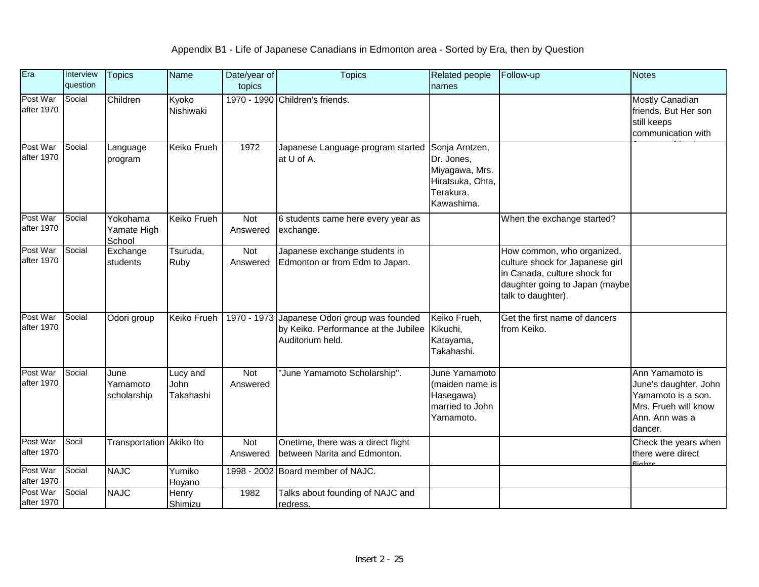| Era                    | Interview<br>question | <b>Topics</b>                     | <b>Name</b>                   | Date/year of<br>topics | <b>Topics</b>                                                                                            | <b>Related people</b><br>names                                                                | Follow-up                                                                                                                                             | <b>Notes</b>                                                                                                        |
|------------------------|-----------------------|-----------------------------------|-------------------------------|------------------------|----------------------------------------------------------------------------------------------------------|-----------------------------------------------------------------------------------------------|-------------------------------------------------------------------------------------------------------------------------------------------------------|---------------------------------------------------------------------------------------------------------------------|
| Post War<br>after 1970 | Social                | Children                          | Kyoko<br>Nishiwaki            |                        | 1970 - 1990 Children's friends.                                                                          |                                                                                               |                                                                                                                                                       | Mostly Canadian<br>friends. But Her son<br>still keeps<br>communication with                                        |
| Post War<br>after 1970 | Social                | Language<br>program               | Keiko Frueh                   | 1972                   | Japanese Language program started<br>at U of A.                                                          | Sonja Arntzen,<br>Dr. Jones,<br>Miyagawa, Mrs.<br>Hiratsuka, Ohta,<br>Terakura.<br>Kawashima. |                                                                                                                                                       |                                                                                                                     |
| Post War<br>after 1970 | Social                | Yokohama<br>Yamate High<br>School | Keiko Frueh                   | Not<br>Answered        | 6 students came here every year as<br>exchange.                                                          |                                                                                               | When the exchange started?                                                                                                                            |                                                                                                                     |
| Post War<br>after 1970 | Social                | Exchange<br>students              | Tsuruda,<br>Ruby              | Not<br>Answered        | Japanese exchange students in<br>Edmonton or from Edm to Japan.                                          |                                                                                               | How common, who organized,<br>culture shock for Japanese girl<br>in Canada, culture shock for<br>daughter going to Japan (maybe<br>talk to daughter). |                                                                                                                     |
| Post War<br>after 1970 | Social                | Odori group                       | Keiko Frueh                   |                        | 1970 - 1973 Japanese Odori group was founded<br>by Keiko. Performance at the Jubilee<br>Auditorium held. | Keiko Frueh,<br>Kikuchi,<br>Katayama,<br>Takahashi.                                           | Get the first name of dancers<br>from Keiko.                                                                                                          |                                                                                                                     |
| Post War<br>after 1970 | Social                | June<br>Yamamoto<br>scholarship   | Lucy and<br>John<br>Takahashi | Not<br>Answered        | "June Yamamoto Scholarship".                                                                             | June Yamamoto<br>(maiden name is<br>Hasegawa)<br>married to John<br>Yamamoto.                 |                                                                                                                                                       | Ann Yamamoto is<br>June's daughter, John<br>Yamamoto is a son.<br>Mrs. Frueh will know<br>Ann. Ann was a<br>dancer. |
| Post War<br>after 1970 | Socil                 | Transportation Akiko Ito          |                               | Not<br>Answered        | Onetime, there was a direct flight<br>between Narita and Edmonton.                                       |                                                                                               |                                                                                                                                                       | Check the years when<br>there were direct<br>fliabte                                                                |
| Post War<br>after 1970 | Social                | <b>NAJC</b>                       | Yumiko<br>Hoyano              |                        | 1998 - 2002 Board member of NAJC.                                                                        |                                                                                               |                                                                                                                                                       |                                                                                                                     |
| Post War<br>after 1970 | Social                | <b>NAJC</b>                       | Henry<br>Shimizu              | 1982                   | Talks about founding of NAJC and<br>redress.                                                             |                                                                                               |                                                                                                                                                       |                                                                                                                     |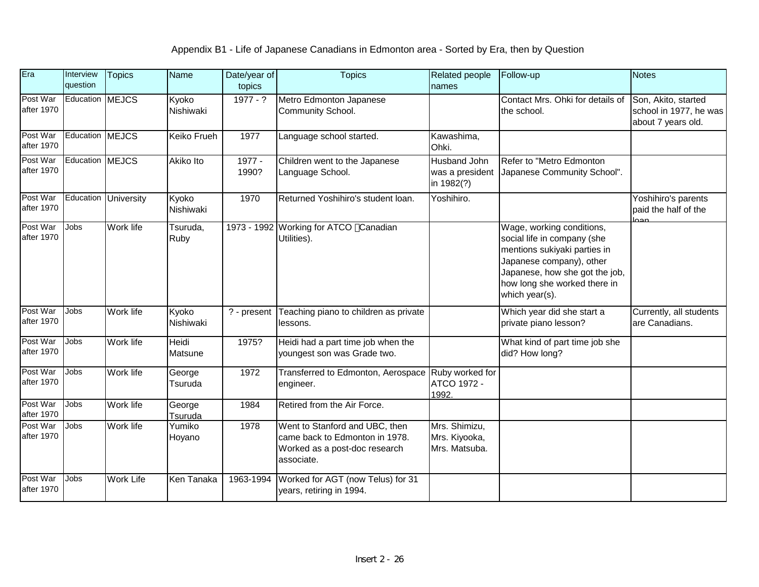| Era                    | Interview<br>question | <b>Topics</b>        | Name               | Date/year of<br>topics | <b>Topics</b>                                                                                                   | Related people<br>names                         | Follow-up                                                                                                                                                                                                | <b>Notes</b>                                                        |
|------------------------|-----------------------|----------------------|--------------------|------------------------|-----------------------------------------------------------------------------------------------------------------|-------------------------------------------------|----------------------------------------------------------------------------------------------------------------------------------------------------------------------------------------------------------|---------------------------------------------------------------------|
| Post War<br>after 1970 | Education MEJCS       |                      | Kyoko<br>Nishiwaki | $1977 - ?$             | Metro Edmonton Japanese<br>Community School.                                                                    |                                                 | Contact Mrs. Ohki for details of<br>the school.                                                                                                                                                          | Son, Akito, started<br>school in 1977, he was<br>about 7 years old. |
| Post War<br>after 1970 | Education MEJCS       |                      | Keiko Frueh        | 1977                   | Language school started.                                                                                        | Kawashima,<br>Ohki.                             |                                                                                                                                                                                                          |                                                                     |
| Post War<br>after 1970 | Education MEJCS       |                      | <b>Akiko Ito</b>   | 1977 -<br>1990?        | Children went to the Japanese<br>Language School.                                                               | Husband John<br>was a president<br>in 1982(?)   | Refer to "Metro Edmonton<br>Japanese Community School".                                                                                                                                                  |                                                                     |
| Post War<br>after 1970 |                       | Education University | Kyoko<br>Nishiwaki | 1970                   | Returned Yoshihiro's student loan.                                                                              | Yoshihiro.                                      |                                                                                                                                                                                                          | Yoshihiro's parents<br>paid the half of the<br>محم                  |
| Post War<br>after 1970 | <b>Jobs</b>           | Work life            | Tsuruda,<br>Ruby   |                        | 1973 - 1992 Working for ATCO Canadian<br>Utilities).                                                            |                                                 | Wage, working conditions,<br>social life in company (she<br>mentions sukiyaki parties in<br>Japanese company), other<br>Japanese, how she got the job,<br>how long she worked there in<br>which year(s). |                                                                     |
| Post War<br>after 1970 | Jobs                  | Work life            | Kyoko<br>Nishiwaki | ? - present            | Teaching piano to children as private<br>lessons.                                                               |                                                 | Which year did she start a<br>private piano lesson?                                                                                                                                                      | Currently, all students<br>are Canadians.                           |
| Post War<br>after 1970 | Jobs                  | Work life            | Heidi<br>Matsune   | 1975?                  | Heidi had a part time job when the<br>youngest son was Grade two.                                               |                                                 | What kind of part time job she<br>did? How long?                                                                                                                                                         |                                                                     |
| Post War<br>after 1970 | <b>Jobs</b>           | Work life            | George<br>Tsuruda  | 1972                   | Transferred to Edmonton, Aerospace<br>engineer.                                                                 | Ruby worked for<br>ATCO 1972 -<br>1992          |                                                                                                                                                                                                          |                                                                     |
| Post War<br>after 1970 | Jobs                  | Work life            | George<br>Tsuruda  | 1984                   | Retired from the Air Force.                                                                                     |                                                 |                                                                                                                                                                                                          |                                                                     |
| Post War<br>after 1970 | <b>Jobs</b>           | Work life            | Yumiko<br>Hoyano   | 1978                   | Went to Stanford and UBC, then<br>came back to Edmonton in 1978.<br>Worked as a post-doc research<br>associate. | Mrs. Shimizu,<br>Mrs. Kiyooka,<br>Mrs. Matsuba. |                                                                                                                                                                                                          |                                                                     |
| Post War<br>after 1970 | Jobs                  | <b>Work Life</b>     | Ken Tanaka         | 1963-1994              | Worked for AGT (now Telus) for 31<br>years, retiring in 1994.                                                   |                                                 |                                                                                                                                                                                                          |                                                                     |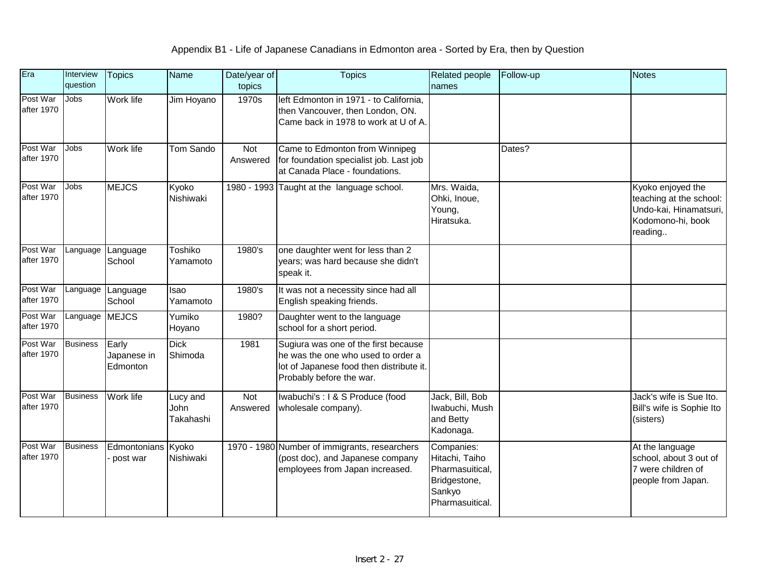| Era                    | Interview<br>question | <b>Topics</b>                    | Name                                 | Date/year of<br>topics | <b>Topics</b>                                                                                                                                      | Related people<br>names                                                                      | Follow-up | <b>Notes</b>                                                                                           |
|------------------------|-----------------------|----------------------------------|--------------------------------------|------------------------|----------------------------------------------------------------------------------------------------------------------------------------------------|----------------------------------------------------------------------------------------------|-----------|--------------------------------------------------------------------------------------------------------|
| Post War<br>after 1970 | <b>Jobs</b>           | <b>Work life</b>                 | Jim Hoyano                           | 1970s                  | left Edmonton in 1971 - to California,<br>then Vancouver, then London, ON.<br>Came back in 1978 to work at U of A.                                 |                                                                                              |           |                                                                                                        |
| Post War<br>after 1970 | Jobs                  | Work life                        | Tom Sando                            | Not<br>Answered        | Came to Edmonton from Winnipeg<br>for foundation specialist job. Last job<br>at Canada Place - foundations.                                        |                                                                                              | Dates?    |                                                                                                        |
| Post War<br>after 1970 | <b>Jobs</b>           | <b>MEJCS</b>                     | Kyoko<br>Nishiwaki                   |                        | 1980 - 1993 Taught at the language school.                                                                                                         | Mrs. Waida,<br>Ohki, Inoue,<br>Young,<br>Hiratsuka.                                          |           | Kyoko enjoyed the<br>teaching at the school:<br>Undo-kai, Hinamatsuri,<br>Kodomono-hi, book<br>reading |
| Post War<br>after 1970 | Language              | Language<br>School               | Toshiko<br>Yamamoto                  | 1980's                 | one daughter went for less than 2<br>years; was hard because she didn't<br>speak it.                                                               |                                                                                              |           |                                                                                                        |
| Post War<br>after 1970 | Language              | Language<br>School               | Isao<br>Yamamoto                     | 1980's                 | It was not a necessity since had all<br>English speaking friends.                                                                                  |                                                                                              |           |                                                                                                        |
| Post War<br>after 1970 | Language MEJCS        |                                  | Yumiko<br>Hoyano                     | 1980?                  | Daughter went to the language<br>school for a short period.                                                                                        |                                                                                              |           |                                                                                                        |
| Post War<br>after 1970 | <b>Business</b>       | Early<br>Japanese in<br>Edmonton | <b>Dick</b><br>Shimoda               | 1981                   | Sugiura was one of the first because<br>he was the one who used to order a<br>lot of Japanese food then distribute it.<br>Probably before the war. |                                                                                              |           |                                                                                                        |
| Post War<br>after 1970 | <b>Business</b>       | Work life                        | Lucy and<br><b>John</b><br>Takahashi | Not<br>Answered        | Iwabuchi's : I & S Produce (food<br>wholesale company).                                                                                            | Jack, Bill, Bob<br>Iwabuchi, Mush<br>and Betty<br>Kadonaga.                                  |           | Jack's wife is Sue Ito.<br>Bill's wife is Sophie Ito<br>(sisters)                                      |
| Post War<br>after 1970 | <b>Business</b>       | Edmontonians Kyoko<br>post war   | Nishiwaki                            |                        | 1970 - 1980 Number of immigrants, researchers<br>(post doc), and Japanese company<br>employees from Japan increased.                               | Companies:<br>Hitachi, Taiho<br>Pharmasuitical,<br>Bridgestone,<br>Sankyo<br>Pharmasuitical. |           | At the language<br>school, about 3 out of<br>7 were children of<br>people from Japan.                  |